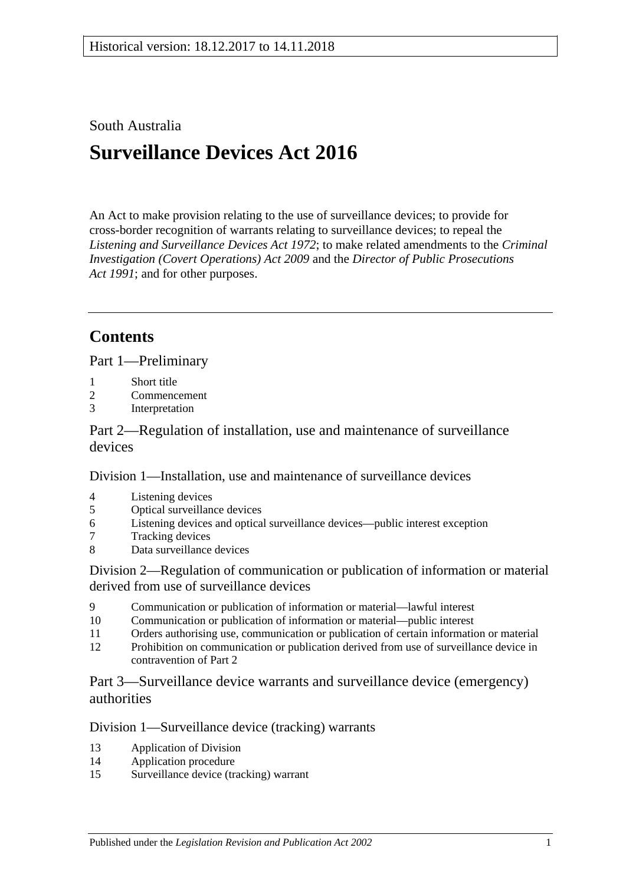## South Australia

# **Surveillance Devices Act 2016**

An Act to make provision relating to the use of surveillance devices; to provide for cross-border recognition of warrants relating to surveillance devices; to repeal the *[Listening and Surveillance Devices Act](http://www.legislation.sa.gov.au/index.aspx?action=legref&type=act&legtitle=Listening%20and%20Surveillance%20Devices%20Act%201972) 1972*; to make related amendments to the *[Criminal](http://www.legislation.sa.gov.au/index.aspx?action=legref&type=act&legtitle=Criminal%20Investigation%20(Covert%20Operations)%20Act%202009)  [Investigation \(Covert Operations\) Act](http://www.legislation.sa.gov.au/index.aspx?action=legref&type=act&legtitle=Criminal%20Investigation%20(Covert%20Operations)%20Act%202009) 2009* and the *[Director of Public Prosecutions](http://www.legislation.sa.gov.au/index.aspx?action=legref&type=act&legtitle=Director%20of%20Public%20Prosecutions%20Act%201991)  Act [1991](http://www.legislation.sa.gov.au/index.aspx?action=legref&type=act&legtitle=Director%20of%20Public%20Prosecutions%20Act%201991)*; and for other purposes.

# **Contents**

Part [1—Preliminary](#page-2-0)

- 1 [Short title](#page-2-1)
- 2 [Commencement](#page-2-2)
- 3 [Interpretation](#page-2-3)

Part [2—Regulation of installation, use and maintenance of surveillance](#page-8-0)  [devices](#page-8-0)

Division [1—Installation, use and maintenance of surveillance devices](#page-8-1)

- 4 [Listening devices](#page-8-2)
- 5 [Optical surveillance devices](#page-10-0)
- 6 [Listening devices and optical surveillance devices—public interest exception](#page-12-0)
- 7 [Tracking devices](#page-12-1)
- 8 [Data surveillance devices](#page-13-0)

Division [2—Regulation of communication or publication of information or material](#page-13-1)  [derived from use of surveillance devices](#page-13-1)

- 9 [Communication or publication of information or material—lawful interest](#page-13-2)
- 10 [Communication or publication of information or material—public interest](#page-14-0)
- 11 [Orders authorising use, communication or publication of certain information or material](#page-15-0)
- 12 [Prohibition on communication or publication derived from use of surveillance device in](#page-15-1)  [contravention of Part](#page-15-1) 2

Part [3—Surveillance device warrants and surveillance device \(emergency\)](#page-16-0)  [authorities](#page-16-0)

## Division [1—Surveillance device \(tracking\) warrants](#page-16-1)

- 13 [Application of Division](#page-16-2)
- 14 [Application procedure](#page-16-3)
- 15 [Surveillance device \(tracking\) warrant](#page-17-0)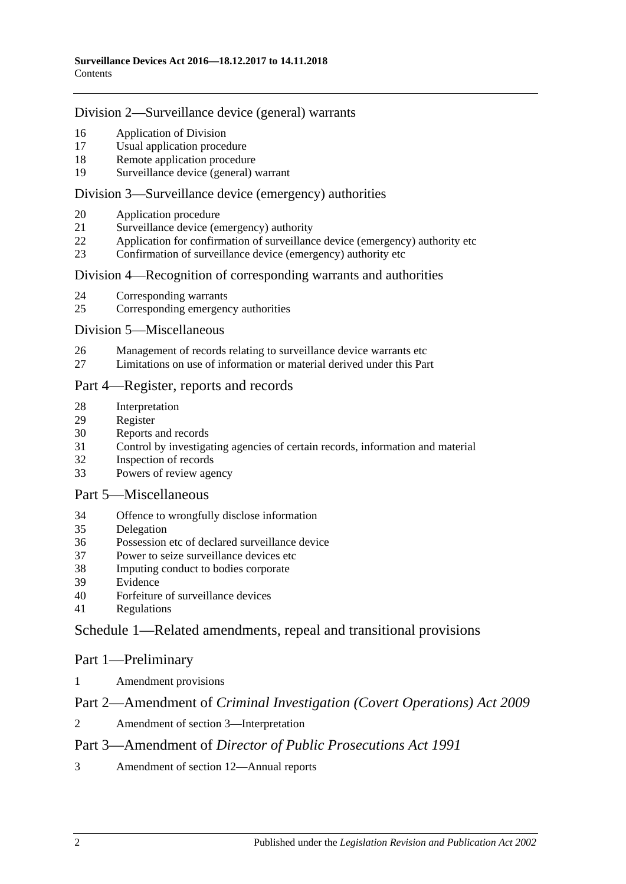#### Division [2—Surveillance device \(general\) warrants](#page-18-0)

- [Application of Division](#page-18-1)
- [Usual application procedure](#page-19-0)
- [Remote application procedure](#page-19-1)
- [Surveillance device \(general\) warrant](#page-21-0)

#### Division [3—Surveillance device \(emergency\) authorities](#page-23-0)

- [Application procedure](#page-23-1)
- [Surveillance device \(emergency\) authority](#page-24-0)
- [Application for confirmation of surveillance device \(emergency\) authority etc](#page-26-0)
- [Confirmation of surveillance device \(emergency\) authority etc](#page-27-0)

#### Division 4—Recognition [of corresponding warrants and authorities](#page-28-0)

- [Corresponding warrants](#page-28-1)<br>25 Corresponding emergency
- [Corresponding emergency authorities](#page-28-2)

#### Division [5—Miscellaneous](#page-28-3)

- [Management of records relating to surveillance device warrants etc](#page-28-4)
- [Limitations on use of information or material derived under this Part](#page-28-5)

### Part [4—Register, reports and records](#page-29-0)

- [Interpretation](#page-29-1)
- [Register](#page-29-2)
- [Reports and records](#page-31-0)
- [Control by investigating agencies of certain records, information and material](#page-34-0)
- [Inspection of records](#page-35-0)
- [Powers of review agency](#page-35-1)

#### Part [5—Miscellaneous](#page-36-0)

- [Offence to wrongfully disclose information](#page-36-1)
- [Delegation](#page-37-0)
- [Possession etc of declared surveillance device](#page-37-1)
- [Power to seize surveillance devices etc](#page-38-0)
- [Imputing conduct to bodies corporate](#page-39-0)
- [Evidence](#page-39-1)
- [Forfeiture of surveillance devices](#page-39-2)
- [Regulations](#page-39-3)

## Schedule [1—Related amendments, repeal and transitional provisions](#page-40-0)

#### Part 1—Preliminary

[Amendment provisions](#page-40-1)

## Part 2—Amendment of *Criminal Investigation (Covert Operations) Act 2009*

[Amendment of section](#page-40-2) 3—Interpretation

## Part 3—Amendment of *Director of Public Prosecutions Act 1991*

[Amendment of section](#page-40-3) 12—Annual reports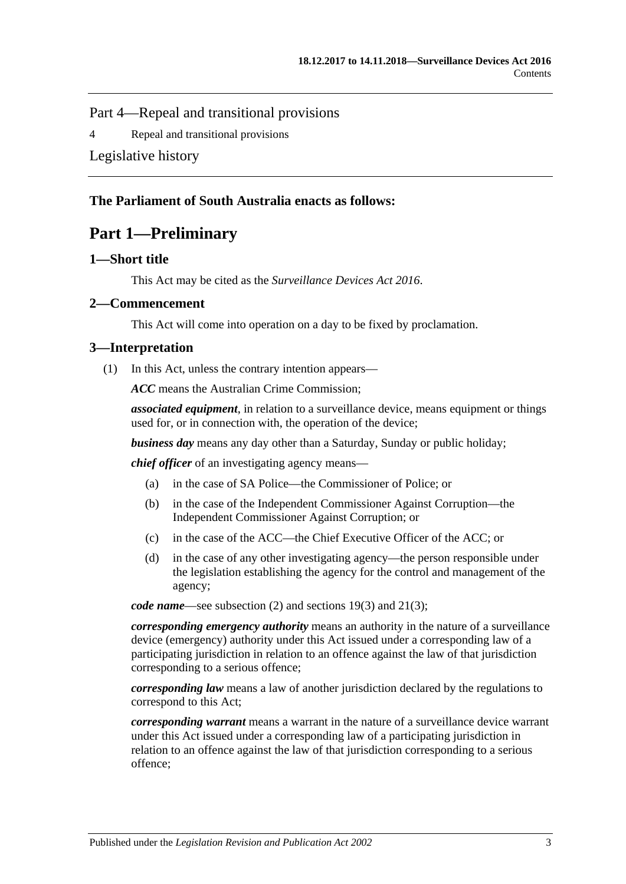Part 4—Repeal and transitional provisions

4 [Repeal and transitional provisions](#page-40-4)

[Legislative history](#page-42-0)

## <span id="page-2-0"></span>**The Parliament of South Australia enacts as follows:**

# **Part 1—Preliminary**

#### <span id="page-2-1"></span>**1—Short title**

This Act may be cited as the *Surveillance Devices Act 2016*.

#### <span id="page-2-2"></span>**2—Commencement**

This Act will come into operation on a day to be fixed by proclamation.

#### <span id="page-2-3"></span>**3—Interpretation**

(1) In this Act, unless the contrary intention appears—

*ACC* means the Australian Crime Commission;

*associated equipment*, in relation to a surveillance device, means equipment or things used for, or in connection with, the operation of the device;

*business day* means any day other than a Saturday, Sunday or public holiday;

*chief officer* of an investigating agency means—

- (a) in the case of SA Police—the Commissioner of Police; or
- (b) in the case of the Independent Commissioner Against Corruption—the Independent Commissioner Against Corruption; or
- (c) in the case of the ACC—the Chief Executive Officer of the ACC; or
- (d) in the case of any other investigating agency—the person responsible under the legislation establishing the agency for the control and management of the agency;

*code name*—see [subsection](#page-8-3) (2) and [sections](#page-22-0) 19(3) and [21\(3\);](#page-25-0)

*corresponding emergency authority* means an authority in the nature of a surveillance device (emergency) authority under this Act issued under a corresponding law of a participating jurisdiction in relation to an offence against the law of that jurisdiction corresponding to a serious offence;

*corresponding law* means a law of another jurisdiction declared by the regulations to correspond to this Act;

*corresponding warrant* means a warrant in the nature of a surveillance device warrant under this Act issued under a corresponding law of a participating jurisdiction in relation to an offence against the law of that jurisdiction corresponding to a serious offence;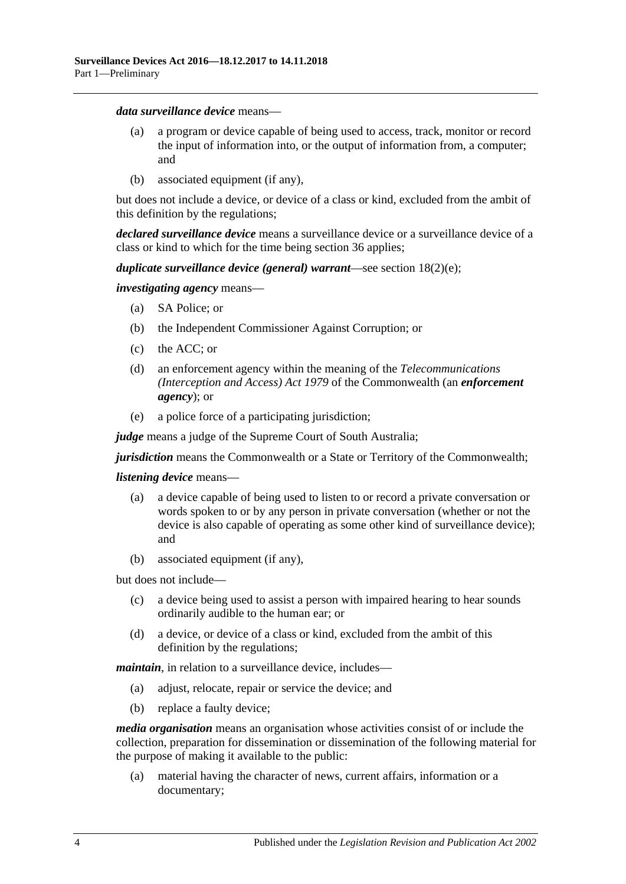#### *data surveillance device* means—

- (a) a program or device capable of being used to access, track, monitor or record the input of information into, or the output of information from, a computer; and
- (b) associated equipment (if any),

but does not include a device, or device of a class or kind, excluded from the ambit of this definition by the regulations;

*declared surveillance device* means a surveillance device or a surveillance device of a class or kind to which for the time being [section](#page-37-1) 36 applies;

#### *duplicate surveillance device (general) warrant*—see section [18\(2\)\(e\);](#page-20-0)

*investigating agency* means—

- (a) SA Police; or
- (b) the Independent Commissioner Against Corruption; or
- (c) the ACC; or
- (d) an enforcement agency within the meaning of the *Telecommunications (Interception and Access) Act 1979* of the Commonwealth (an *enforcement agency*); or
- (e) a police force of a participating jurisdiction;

*judge* means a judge of the Supreme Court of South Australia;

*jurisdiction* means the Commonwealth or a State or Territory of the Commonwealth;

#### *listening device* means—

- (a) a device capable of being used to listen to or record a private conversation or words spoken to or by any person in private conversation (whether or not the device is also capable of operating as some other kind of surveillance device); and
- (b) associated equipment (if any),

but does not include—

- (c) a device being used to assist a person with impaired hearing to hear sounds ordinarily audible to the human ear; or
- (d) a device, or device of a class or kind, excluded from the ambit of this definition by the regulations;

*maintain*, in relation to a surveillance device, includes—

- (a) adjust, relocate, repair or service the device; and
- (b) replace a faulty device;

*media organisation* means an organisation whose activities consist of or include the collection, preparation for dissemination or dissemination of the following material for the purpose of making it available to the public:

(a) material having the character of news, current affairs, information or a documentary;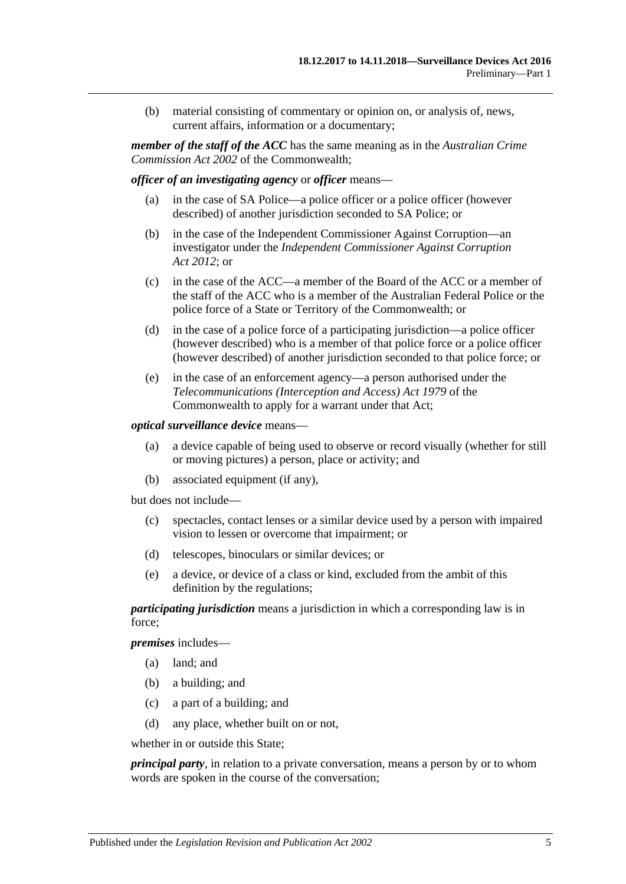(b) material consisting of commentary or opinion on, or analysis of, news, current affairs, information or a documentary;

*member of the staff of the ACC* has the same meaning as in the *Australian Crime Commission Act 2002* of the Commonwealth;

*officer of an investigating agency* or *officer* means—

- (a) in the case of SA Police—a police officer or a police officer (however described) of another jurisdiction seconded to SA Police; or
- (b) in the case of the Independent Commissioner Against Corruption—an investigator under the *[Independent Commissioner Against Corruption](http://www.legislation.sa.gov.au/index.aspx?action=legref&type=act&legtitle=Independent%20Commissioner%20Against%20Corruption%20Act%202012)  Act [2012](http://www.legislation.sa.gov.au/index.aspx?action=legref&type=act&legtitle=Independent%20Commissioner%20Against%20Corruption%20Act%202012)*; or
- (c) in the case of the ACC—a member of the Board of the ACC or a member of the staff of the ACC who is a member of the Australian Federal Police or the police force of a State or Territory of the Commonwealth; or
- (d) in the case of a police force of a participating jurisdiction—a police officer (however described) who is a member of that police force or a police officer (however described) of another jurisdiction seconded to that police force; or
- (e) in the case of an enforcement agency—a person authorised under the *Telecommunications (Interception and Access) Act 1979* of the Commonwealth to apply for a warrant under that Act;

#### *optical surveillance device* means—

- (a) a device capable of being used to observe or record visually (whether for still or moving pictures) a person, place or activity; and
- (b) associated equipment (if any),

but does not include—

- (c) spectacles, contact lenses or a similar device used by a person with impaired vision to lessen or overcome that impairment; or
- (d) telescopes, binoculars or similar devices; or
- (e) a device, or device of a class or kind, excluded from the ambit of this definition by the regulations;

*participating jurisdiction* means a jurisdiction in which a corresponding law is in force;

*premises* includes—

- (a) land; and
- (b) a building; and
- (c) a part of a building; and
- (d) any place, whether built on or not,

whether in or outside this State;

*principal party*, in relation to a private conversation, means a person by or to whom words are spoken in the course of the conversation;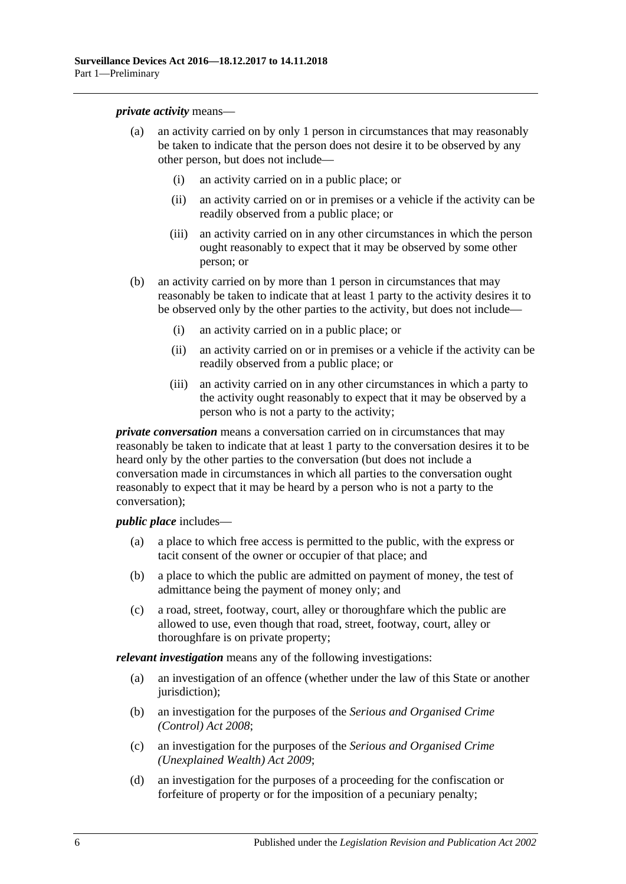*private activity* means—

- (a) an activity carried on by only 1 person in circumstances that may reasonably be taken to indicate that the person does not desire it to be observed by any other person, but does not include—
	- (i) an activity carried on in a public place; or
	- (ii) an activity carried on or in premises or a vehicle if the activity can be readily observed from a public place; or
	- (iii) an activity carried on in any other circumstances in which the person ought reasonably to expect that it may be observed by some other person; or
- (b) an activity carried on by more than 1 person in circumstances that may reasonably be taken to indicate that at least 1 party to the activity desires it to be observed only by the other parties to the activity, but does not include—
	- (i) an activity carried on in a public place; or
	- (ii) an activity carried on or in premises or a vehicle if the activity can be readily observed from a public place; or
	- (iii) an activity carried on in any other circumstances in which a party to the activity ought reasonably to expect that it may be observed by a person who is not a party to the activity;

*private conversation* means a conversation carried on in circumstances that may reasonably be taken to indicate that at least 1 party to the conversation desires it to be heard only by the other parties to the conversation (but does not include a conversation made in circumstances in which all parties to the conversation ought reasonably to expect that it may be heard by a person who is not a party to the conversation);

*public place* includes—

- (a) a place to which free access is permitted to the public, with the express or tacit consent of the owner or occupier of that place; and
- (b) a place to which the public are admitted on payment of money, the test of admittance being the payment of money only; and
- (c) a road, street, footway, court, alley or thoroughfare which the public are allowed to use, even though that road, street, footway, court, alley or thoroughfare is on private property;

*relevant investigation* means any of the following investigations:

- (a) an investigation of an offence (whether under the law of this State or another jurisdiction);
- (b) an investigation for the purposes of the *[Serious and Organised Crime](http://www.legislation.sa.gov.au/index.aspx?action=legref&type=act&legtitle=Serious%20and%20Organised%20Crime%20(Control)%20Act%202008)  [\(Control\) Act](http://www.legislation.sa.gov.au/index.aspx?action=legref&type=act&legtitle=Serious%20and%20Organised%20Crime%20(Control)%20Act%202008) 2008*;
- (c) an investigation for the purposes of the *[Serious and Organised Crime](http://www.legislation.sa.gov.au/index.aspx?action=legref&type=act&legtitle=Serious%20and%20Organised%20Crime%20(Unexplained%20Wealth)%20Act%202009)  [\(Unexplained Wealth\) Act](http://www.legislation.sa.gov.au/index.aspx?action=legref&type=act&legtitle=Serious%20and%20Organised%20Crime%20(Unexplained%20Wealth)%20Act%202009) 2009*;
- (d) an investigation for the purposes of a proceeding for the confiscation or forfeiture of property or for the imposition of a pecuniary penalty;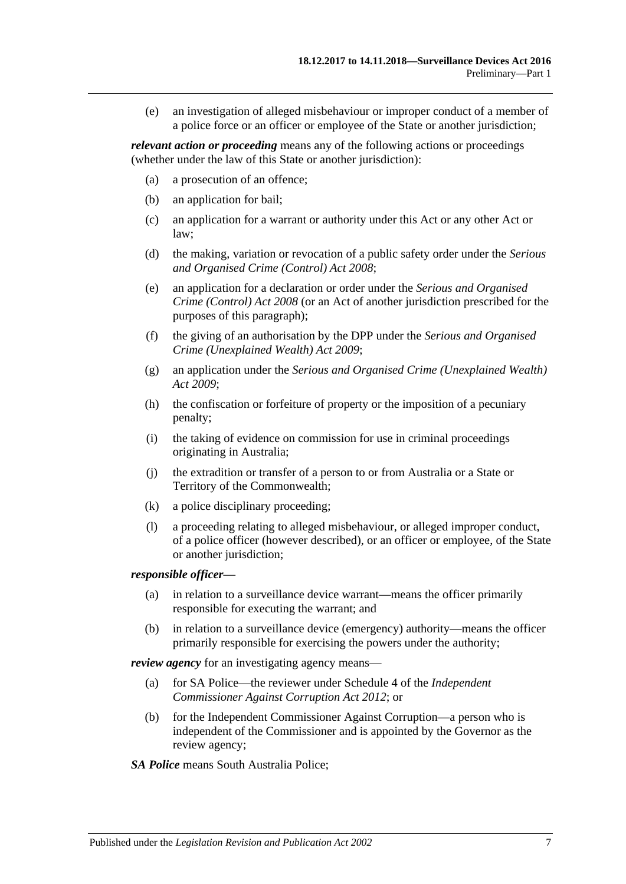(e) an investigation of alleged misbehaviour or improper conduct of a member of a police force or an officer or employee of the State or another jurisdiction;

*relevant action or proceeding* means any of the following actions or proceedings (whether under the law of this State or another jurisdiction):

- (a) a prosecution of an offence;
- (b) an application for bail;
- (c) an application for a warrant or authority under this Act or any other Act or law;
- (d) the making, variation or revocation of a public safety order under the *[Serious](http://www.legislation.sa.gov.au/index.aspx?action=legref&type=act&legtitle=Serious%20and%20Organised%20Crime%20(Control)%20Act%202008)  [and Organised Crime \(Control\) Act](http://www.legislation.sa.gov.au/index.aspx?action=legref&type=act&legtitle=Serious%20and%20Organised%20Crime%20(Control)%20Act%202008) 2008*;
- (e) an application for a declaration or order under the *[Serious and Organised](http://www.legislation.sa.gov.au/index.aspx?action=legref&type=act&legtitle=Serious%20and%20Organised%20Crime%20(Control)%20Act%202008)  [Crime \(Control\) Act](http://www.legislation.sa.gov.au/index.aspx?action=legref&type=act&legtitle=Serious%20and%20Organised%20Crime%20(Control)%20Act%202008) 2008* (or an Act of another jurisdiction prescribed for the purposes of this paragraph);
- (f) the giving of an authorisation by the DPP under the *[Serious and Organised](http://www.legislation.sa.gov.au/index.aspx?action=legref&type=act&legtitle=Serious%20and%20Organised%20Crime%20(Unexplained%20Wealth)%20Act%202009)  [Crime \(Unexplained Wealth\) Act](http://www.legislation.sa.gov.au/index.aspx?action=legref&type=act&legtitle=Serious%20and%20Organised%20Crime%20(Unexplained%20Wealth)%20Act%202009) 2009*;
- (g) an application under the *[Serious and Organised Crime \(Unexplained Wealth\)](http://www.legislation.sa.gov.au/index.aspx?action=legref&type=act&legtitle=Serious%20and%20Organised%20Crime%20(Unexplained%20Wealth)%20Act%202009)  Act [2009](http://www.legislation.sa.gov.au/index.aspx?action=legref&type=act&legtitle=Serious%20and%20Organised%20Crime%20(Unexplained%20Wealth)%20Act%202009)*;
- (h) the confiscation or forfeiture of property or the imposition of a pecuniary penalty;
- (i) the taking of evidence on commission for use in criminal proceedings originating in Australia;
- (j) the extradition or transfer of a person to or from Australia or a State or Territory of the Commonwealth;
- (k) a police disciplinary proceeding;
- (l) a proceeding relating to alleged misbehaviour, or alleged improper conduct, of a police officer (however described), or an officer or employee, of the State or another jurisdiction;

#### *responsible officer*—

- (a) in relation to a surveillance device warrant—means the officer primarily responsible for executing the warrant; and
- (b) in relation to a surveillance device (emergency) authority—means the officer primarily responsible for exercising the powers under the authority;

*review agency* for an investigating agency means—

- (a) for SA Police—the reviewer under Schedule 4 of the *[Independent](http://www.legislation.sa.gov.au/index.aspx?action=legref&type=act&legtitle=Independent%20Commissioner%20Against%20Corruption%20Act%202012)  [Commissioner Against Corruption Act](http://www.legislation.sa.gov.au/index.aspx?action=legref&type=act&legtitle=Independent%20Commissioner%20Against%20Corruption%20Act%202012) 2012*; or
- (b) for the Independent Commissioner Against Corruption—a person who is independent of the Commissioner and is appointed by the Governor as the review agency;
- *SA Police* means South Australia Police;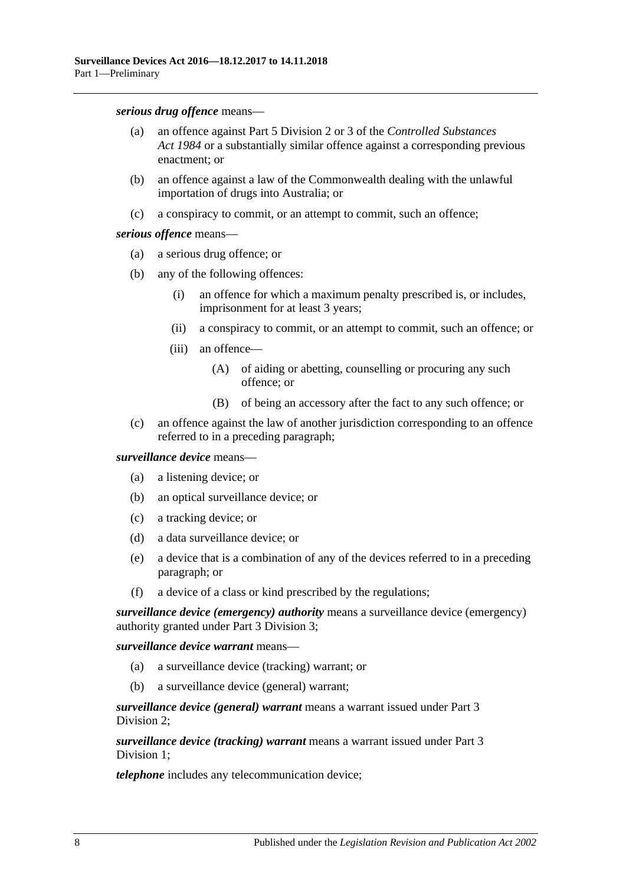*serious drug offence* means—

- (a) an offence against Part 5 Division 2 or 3 of the *[Controlled Substances](http://www.legislation.sa.gov.au/index.aspx?action=legref&type=act&legtitle=Controlled%20Substances%20Act%201984)  Act [1984](http://www.legislation.sa.gov.au/index.aspx?action=legref&type=act&legtitle=Controlled%20Substances%20Act%201984)* or a substantially similar offence against a corresponding previous enactment; or
- (b) an offence against a law of the Commonwealth dealing with the unlawful importation of drugs into Australia; or
- (c) a conspiracy to commit, or an attempt to commit, such an offence;

#### *serious offence* means—

- (a) a serious drug offence; or
- (b) any of the following offences:
	- (i) an offence for which a maximum penalty prescribed is, or includes, imprisonment for at least 3 years;
	- (ii) a conspiracy to commit, or an attempt to commit, such an offence; or
	- (iii) an offence—
		- (A) of aiding or abetting, counselling or procuring any such offence; or
		- (B) of being an accessory after the fact to any such offence; or
- (c) an offence against the law of another jurisdiction corresponding to an offence referred to in a preceding paragraph;

#### *surveillance device* means—

- (a) a listening device; or
- (b) an optical surveillance device; or
- (c) a tracking device; or
- (d) a data surveillance device; or
- (e) a device that is a combination of any of the devices referred to in a preceding paragraph; or
- (f) a device of a class or kind prescribed by the regulations;

*surveillance device (emergency) authority* means a surveillance device (emergency) authority granted under Part [3 Division](#page-23-0) 3;

*surveillance device warrant* means—

- (a) a surveillance device (tracking) warrant; or
- (b) a surveillance device (general) warrant;

*surveillance device (general) warrant* means a warrant issued under [Part](#page-18-0) 3 [Division](#page-18-0) 2;

*surveillance device (tracking) warrant* means a warrant issued under [Part](#page-16-1) 3 [Division](#page-16-1) 1:

*telephone* includes any telecommunication device;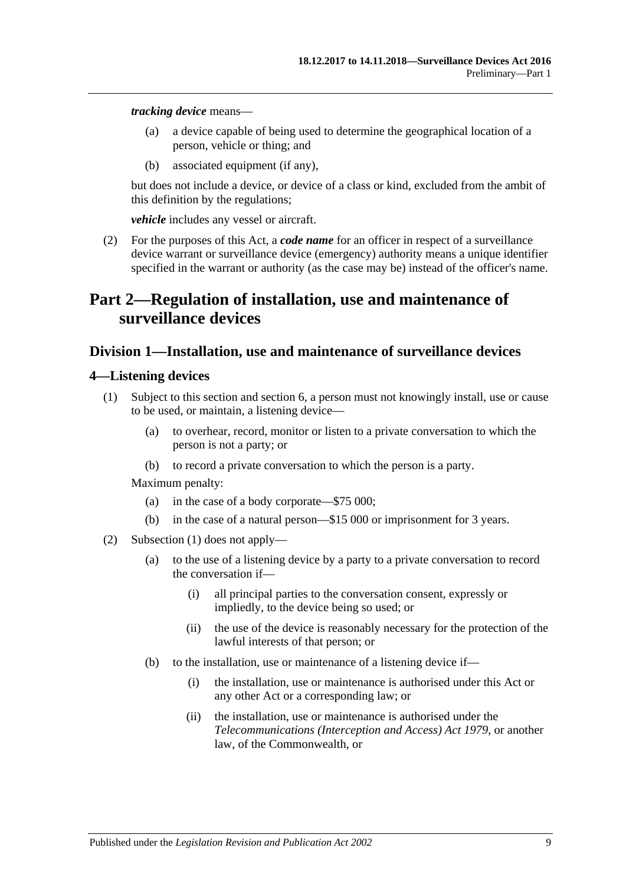*tracking device* means—

- (a) a device capable of being used to determine the geographical location of a person, vehicle or thing; and
- (b) associated equipment (if any),

but does not include a device, or device of a class or kind, excluded from the ambit of this definition by the regulations;

*vehicle* includes any vessel or aircraft.

<span id="page-8-3"></span>(2) For the purposes of this Act, a *code name* for an officer in respect of a surveillance device warrant or surveillance device (emergency) authority means a unique identifier specified in the warrant or authority (as the case may be) instead of the officer's name.

# <span id="page-8-0"></span>**Part 2—Regulation of installation, use and maintenance of surveillance devices**

## <span id="page-8-1"></span>**Division 1—Installation, use and maintenance of surveillance devices**

#### <span id="page-8-4"></span><span id="page-8-2"></span>**4—Listening devices**

- (1) Subject to this section and [section](#page-12-0) 6, a person must not knowingly install, use or cause to be used, or maintain, a listening device—
	- (a) to overhear, record, monitor or listen to a private conversation to which the person is not a party; or
	- (b) to record a private conversation to which the person is a party.

- (a) in the case of a body corporate—\$75 000;
- (b) in the case of a natural person—\$15 000 or imprisonment for 3 years.
- <span id="page-8-5"></span>(2) [Subsection](#page-8-4) (1) does not apply—
	- (a) to the use of a listening device by a party to a private conversation to record the conversation if—
		- (i) all principal parties to the conversation consent, expressly or impliedly, to the device being so used; or
		- (ii) the use of the device is reasonably necessary for the protection of the lawful interests of that person; or
	- (b) to the installation, use or maintenance of a listening device if—
		- (i) the installation, use or maintenance is authorised under this Act or any other Act or a corresponding law; or
		- (ii) the installation, use or maintenance is authorised under the *Telecommunications (Interception and Access) Act 1979*, or another law, of the Commonwealth, or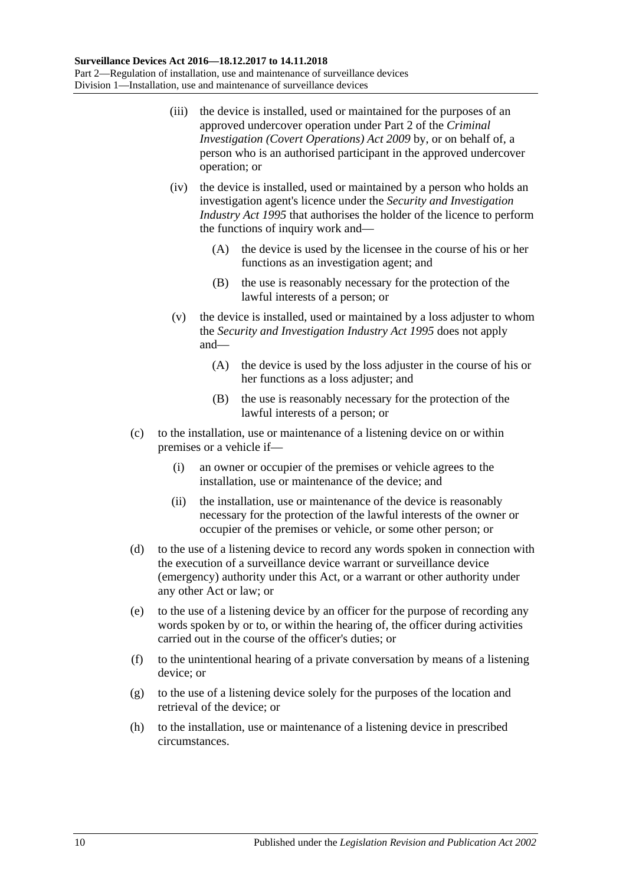- <span id="page-9-2"></span>(iii) the device is installed, used or maintained for the purposes of an approved undercover operation under Part 2 of the *[Criminal](http://www.legislation.sa.gov.au/index.aspx?action=legref&type=act&legtitle=Criminal%20Investigation%20(Covert%20Operations)%20Act%202009)  [Investigation \(Covert Operations\) Act](http://www.legislation.sa.gov.au/index.aspx?action=legref&type=act&legtitle=Criminal%20Investigation%20(Covert%20Operations)%20Act%202009) 2009* by, or on behalf of, a person who is an authorised participant in the approved undercover operation; or
- <span id="page-9-0"></span>(iv) the device is installed, used or maintained by a person who holds an investigation agent's licence under the *[Security and Investigation](http://www.legislation.sa.gov.au/index.aspx?action=legref&type=act&legtitle=Security%20and%20Investigation%20Industry%20Act%201995)  [Industry Act](http://www.legislation.sa.gov.au/index.aspx?action=legref&type=act&legtitle=Security%20and%20Investigation%20Industry%20Act%201995) 1995* that authorises the holder of the licence to perform the functions of inquiry work and—
	- (A) the device is used by the licensee in the course of his or her functions as an investigation agent; and
	- (B) the use is reasonably necessary for the protection of the lawful interests of a person; or
- <span id="page-9-1"></span>(v) the device is installed, used or maintained by a loss adjuster to whom the *[Security and Investigation Industry Act](http://www.legislation.sa.gov.au/index.aspx?action=legref&type=act&legtitle=Security%20and%20Investigation%20Industry%20Act%201995) 1995* does not apply and—
	- (A) the device is used by the loss adjuster in the course of his or her functions as a loss adjuster; and
	- (B) the use is reasonably necessary for the protection of the lawful interests of a person; or
- (c) to the installation, use or maintenance of a listening device on or within premises or a vehicle if—
	- (i) an owner or occupier of the premises or vehicle agrees to the installation, use or maintenance of the device; and
	- (ii) the installation, use or maintenance of the device is reasonably necessary for the protection of the lawful interests of the owner or occupier of the premises or vehicle, or some other person; or
- (d) to the use of a listening device to record any words spoken in connection with the execution of a surveillance device warrant or surveillance device (emergency) authority under this Act, or a warrant or other authority under any other Act or law; or
- (e) to the use of a listening device by an officer for the purpose of recording any words spoken by or to, or within the hearing of, the officer during activities carried out in the course of the officer's duties; or
- (f) to the unintentional hearing of a private conversation by means of a listening device; or
- (g) to the use of a listening device solely for the purposes of the location and retrieval of the device; or
- (h) to the installation, use or maintenance of a listening device in prescribed circumstances.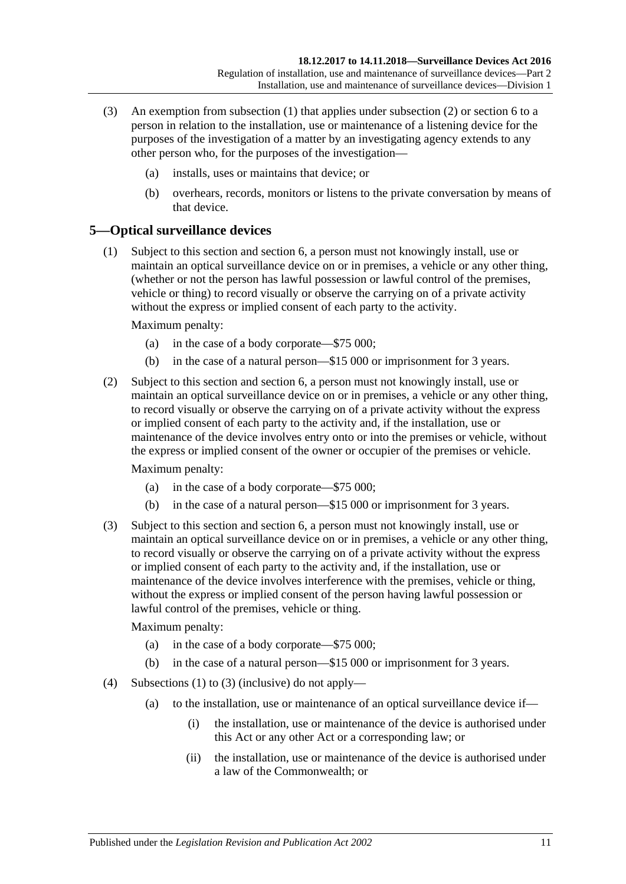- (3) An exemption from [subsection](#page-8-4) (1) that applies under [subsection](#page-8-5) (2) or [section](#page-12-0) 6 to a person in relation to the installation, use or maintenance of a listening device for the purposes of the investigation of a matter by an investigating agency extends to any other person who, for the purposes of the investigation—
	- (a) installs, uses or maintains that device; or
	- (b) overhears, records, monitors or listens to the private conversation by means of that device.

## <span id="page-10-1"></span><span id="page-10-0"></span>**5—Optical surveillance devices**

(1) Subject to this section and [section](#page-12-0) 6, a person must not knowingly install, use or maintain an optical surveillance device on or in premises, a vehicle or any other thing, (whether or not the person has lawful possession or lawful control of the premises, vehicle or thing) to record visually or observe the carrying on of a private activity without the express or implied consent of each party to the activity.

Maximum penalty:

- (a) in the case of a body corporate—\$75 000;
- (b) in the case of a natural person—\$15 000 or imprisonment for 3 years.
- (2) Subject to this section and [section](#page-12-0) 6, a person must not knowingly install, use or maintain an optical surveillance device on or in premises, a vehicle or any other thing, to record visually or observe the carrying on of a private activity without the express or implied consent of each party to the activity and, if the installation, use or maintenance of the device involves entry onto or into the premises or vehicle, without the express or implied consent of the owner or occupier of the premises or vehicle.

Maximum penalty:

- (a) in the case of a body corporate—\$75 000;
- (b) in the case of a natural person—\$15 000 or imprisonment for 3 years.
- <span id="page-10-2"></span>(3) Subject to this section and [section](#page-12-0) 6, a person must not knowingly install, use or maintain an optical surveillance device on or in premises, a vehicle or any other thing, to record visually or observe the carrying on of a private activity without the express or implied consent of each party to the activity and, if the installation, use or maintenance of the device involves interference with the premises, vehicle or thing, without the express or implied consent of the person having lawful possession or lawful control of the premises, vehicle or thing.

- (a) in the case of a body corporate—\$75 000;
- (b) in the case of a natural person—\$15 000 or imprisonment for 3 years.
- <span id="page-10-3"></span>(4) [Subsections \(1\)](#page-10-1) to [\(3\)](#page-10-2) (inclusive) do not apply—
	- (a) to the installation, use or maintenance of an optical surveillance device if—
		- (i) the installation, use or maintenance of the device is authorised under this Act or any other Act or a corresponding law; or
		- (ii) the installation, use or maintenance of the device is authorised under a law of the Commonwealth; or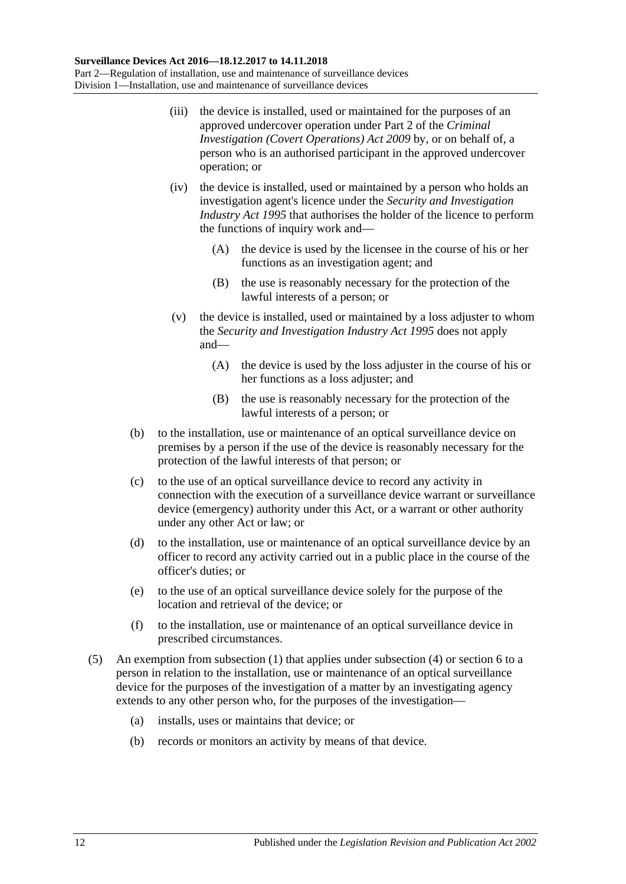- (iii) the device is installed, used or maintained for the purposes of an approved undercover operation under Part 2 of the *[Criminal](http://www.legislation.sa.gov.au/index.aspx?action=legref&type=act&legtitle=Criminal%20Investigation%20(Covert%20Operations)%20Act%202009)  [Investigation \(Covert Operations\) Act](http://www.legislation.sa.gov.au/index.aspx?action=legref&type=act&legtitle=Criminal%20Investigation%20(Covert%20Operations)%20Act%202009) 2009* by, or on behalf of, a person who is an authorised participant in the approved undercover operation; or
- <span id="page-11-0"></span>(iv) the device is installed, used or maintained by a person who holds an investigation agent's licence under the *[Security and Investigation](http://www.legislation.sa.gov.au/index.aspx?action=legref&type=act&legtitle=Security%20and%20Investigation%20Industry%20Act%201995)  [Industry Act](http://www.legislation.sa.gov.au/index.aspx?action=legref&type=act&legtitle=Security%20and%20Investigation%20Industry%20Act%201995) 1995* that authorises the holder of the licence to perform the functions of inquiry work and—
	- (A) the device is used by the licensee in the course of his or her functions as an investigation agent; and
	- (B) the use is reasonably necessary for the protection of the lawful interests of a person; or
- <span id="page-11-1"></span>(v) the device is installed, used or maintained by a loss adjuster to whom the *[Security and Investigation Industry Act](http://www.legislation.sa.gov.au/index.aspx?action=legref&type=act&legtitle=Security%20and%20Investigation%20Industry%20Act%201995) 1995* does not apply and—
	- (A) the device is used by the loss adjuster in the course of his or her functions as a loss adjuster; and
	- (B) the use is reasonably necessary for the protection of the lawful interests of a person; or
- <span id="page-11-2"></span>(b) to the installation, use or maintenance of an optical surveillance device on premises by a person if the use of the device is reasonably necessary for the protection of the lawful interests of that person; or
- (c) to the use of an optical surveillance device to record any activity in connection with the execution of a surveillance device warrant or surveillance device (emergency) authority under this Act, or a warrant or other authority under any other Act or law; or
- (d) to the installation, use or maintenance of an optical surveillance device by an officer to record any activity carried out in a public place in the course of the officer's duties; or
- (e) to the use of an optical surveillance device solely for the purpose of the location and retrieval of the device; or
- (f) to the installation, use or maintenance of an optical surveillance device in prescribed circumstances.
- (5) An exemption from [subsection](#page-10-1) (1) that applies under [subsection](#page-10-3) (4) or [section](#page-12-0) 6 to a person in relation to the installation, use or maintenance of an optical surveillance device for the purposes of the investigation of a matter by an investigating agency extends to any other person who, for the purposes of the investigation—
	- (a) installs, uses or maintains that device; or
	- (b) records or monitors an activity by means of that device.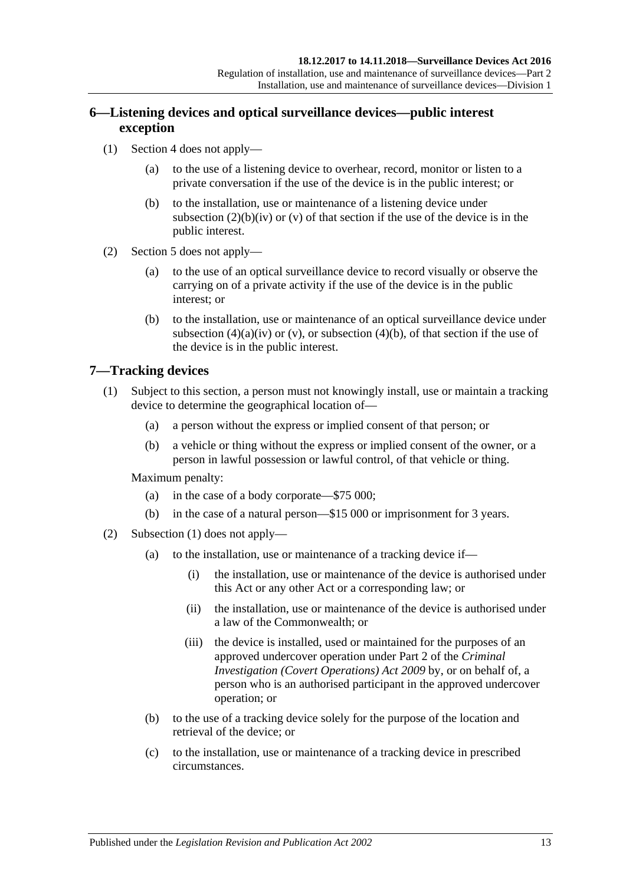## <span id="page-12-0"></span>**6—Listening devices and optical surveillance devices—public interest exception**

- (1) [Section 4](#page-8-2) does not apply—
	- (a) to the use of a listening device to overhear, record, monitor or listen to a private conversation if the use of the device is in the public interest; or
	- (b) to the installation, use or maintenance of a listening device under [subsection](#page-9-0)  $(2)(b)(iv)$  or  $(v)$  of that section if the use of the device is in the public interest.
- (2) [Section 5](#page-10-0) does not apply—
	- (a) to the use of an optical surveillance device to record visually or observe the carrying on of a private activity if the use of the device is in the public interest; or
	- (b) to the installation, use or maintenance of an optical surveillance device under [subsection](#page-11-0) (4)(a)(iv) or [\(v\),](#page-11-1) or [subsection](#page-11-2) (4)(b), of that section if the use of the device is in the public interest.

## <span id="page-12-2"></span><span id="page-12-1"></span>**7—Tracking devices**

- (1) Subject to this section, a person must not knowingly install, use or maintain a tracking device to determine the geographical location of—
	- (a) a person without the express or implied consent of that person; or
	- (b) a vehicle or thing without the express or implied consent of the owner, or a person in lawful possession or lawful control, of that vehicle or thing.

- (a) in the case of a body corporate—\$75 000;
- (b) in the case of a natural person—\$15 000 or imprisonment for 3 years.
- (2) [Subsection \(1\)](#page-12-2) does not apply—
	- (a) to the installation, use or maintenance of a tracking device if—
		- (i) the installation, use or maintenance of the device is authorised under this Act or any other Act or a corresponding law; or
		- (ii) the installation, use or maintenance of the device is authorised under a law of the Commonwealth; or
		- (iii) the device is installed, used or maintained for the purposes of an approved undercover operation under Part 2 of the *[Criminal](http://www.legislation.sa.gov.au/index.aspx?action=legref&type=act&legtitle=Criminal%20Investigation%20(Covert%20Operations)%20Act%202009)  [Investigation \(Covert Operations\) Act](http://www.legislation.sa.gov.au/index.aspx?action=legref&type=act&legtitle=Criminal%20Investigation%20(Covert%20Operations)%20Act%202009) 2009* by, or on behalf of, a person who is an authorised participant in the approved undercover operation; or
	- (b) to the use of a tracking device solely for the purpose of the location and retrieval of the device; or
	- (c) to the installation, use or maintenance of a tracking device in prescribed circumstances.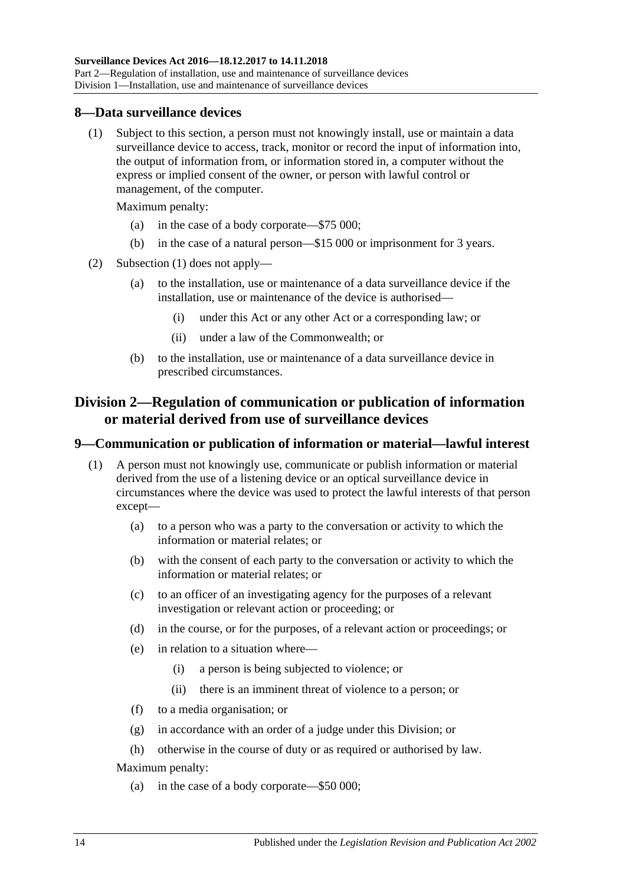#### <span id="page-13-3"></span><span id="page-13-0"></span>**8—Data surveillance devices**

(1) Subject to this section, a person must not knowingly install, use or maintain a data surveillance device to access, track, monitor or record the input of information into, the output of information from, or information stored in, a computer without the express or implied consent of the owner, or person with lawful control or management, of the computer.

Maximum penalty:

- (a) in the case of a body corporate—\$75 000;
- (b) in the case of a natural person—\$15 000 or imprisonment for 3 years.
- (2) [Subsection \(1\)](#page-13-3) does not apply—
	- (a) to the installation, use or maintenance of a data surveillance device if the installation, use or maintenance of the device is authorised—
		- (i) under this Act or any other Act or a corresponding law; or
		- (ii) under a law of the Commonwealth; or
	- (b) to the installation, use or maintenance of a data surveillance device in prescribed circumstances.

## <span id="page-13-1"></span>**Division 2—Regulation of communication or publication of information or material derived from use of surveillance devices**

#### <span id="page-13-2"></span>**9—Communication or publication of information or material—lawful interest**

- (1) A person must not knowingly use, communicate or publish information or material derived from the use of a listening device or an optical surveillance device in circumstances where the device was used to protect the lawful interests of that person except—
	- (a) to a person who was a party to the conversation or activity to which the information or material relates; or
	- (b) with the consent of each party to the conversation or activity to which the information or material relates; or
	- (c) to an officer of an investigating agency for the purposes of a relevant investigation or relevant action or proceeding; or
	- (d) in the course, or for the purposes, of a relevant action or proceedings; or
	- (e) in relation to a situation where—
		- (i) a person is being subjected to violence; or
		- (ii) there is an imminent threat of violence to a person; or
	- (f) to a media organisation; or
	- (g) in accordance with an order of a judge under this Division; or
	- (h) otherwise in the course of duty or as required or authorised by law.

Maximum penalty:

(a) in the case of a body corporate—\$50 000;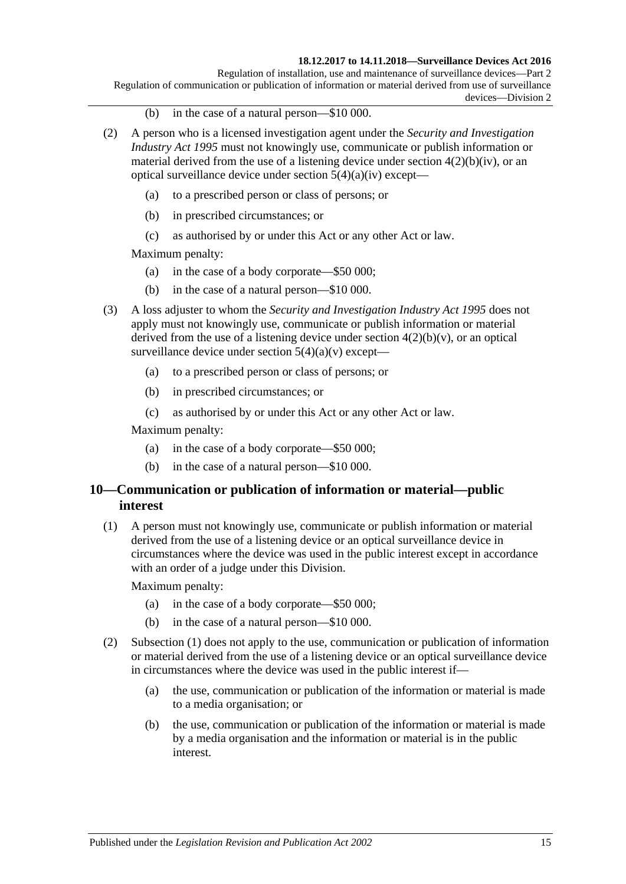#### **18.12.2017 to 14.11.2018—Surveillance Devices Act 2016**

Regulation of installation, use and maintenance of surveillance devices—Part 2 Regulation of communication or publication of information or material derived from use of surveillance devices—Division 2

- (b) in the case of a natural person—\$10 000.
- (2) A person who is a licensed investigation agent under the *[Security and Investigation](http://www.legislation.sa.gov.au/index.aspx?action=legref&type=act&legtitle=Security%20and%20Investigation%20Industry%20Act%201995)  [Industry Act](http://www.legislation.sa.gov.au/index.aspx?action=legref&type=act&legtitle=Security%20and%20Investigation%20Industry%20Act%201995) 1995* must not knowingly use, communicate or publish information or material derived from the use of a listening device under section  $4(2)(b)(iv)$ , or an optical surveillance device under section  $5(4)(a)(iv)$  except-
	- (a) to a prescribed person or class of persons; or
	- (b) in prescribed circumstances; or
	- (c) as authorised by or under this Act or any other Act or law.

Maximum penalty:

- (a) in the case of a body corporate—\$50 000;
- (b) in the case of a natural person—\$10 000.
- (3) A loss adjuster to whom the *[Security and Investigation Industry Act](http://www.legislation.sa.gov.au/index.aspx?action=legref&type=act&legtitle=Security%20and%20Investigation%20Industry%20Act%201995) 1995* does not apply must not knowingly use, communicate or publish information or material derived from the use of a listening device under section  $4(2)(b)(v)$ , or an optical surveillance device under section  $5(4)(a)(v)$  except—
	- (a) to a prescribed person or class of persons; or
	- (b) in prescribed circumstances; or
	- (c) as authorised by or under this Act or any other Act or law.

Maximum penalty:

- (a) in the case of a body corporate—\$50 000;
- (b) in the case of a natural person—\$10 000.

## <span id="page-14-0"></span>**10—Communication or publication of information or material—public interest**

<span id="page-14-1"></span>(1) A person must not knowingly use, communicate or publish information or material derived from the use of a listening device or an optical surveillance device in circumstances where the device was used in the public interest except in accordance with an order of a judge under this Division.

- (a) in the case of a body corporate—\$50 000;
- (b) in the case of a natural person—\$10 000.
- (2) [Subsection \(1\)](#page-14-1) does not apply to the use, communication or publication of information or material derived from the use of a listening device or an optical surveillance device in circumstances where the device was used in the public interest if—
	- (a) the use, communication or publication of the information or material is made to a media organisation; or
	- (b) the use, communication or publication of the information or material is made by a media organisation and the information or material is in the public interest.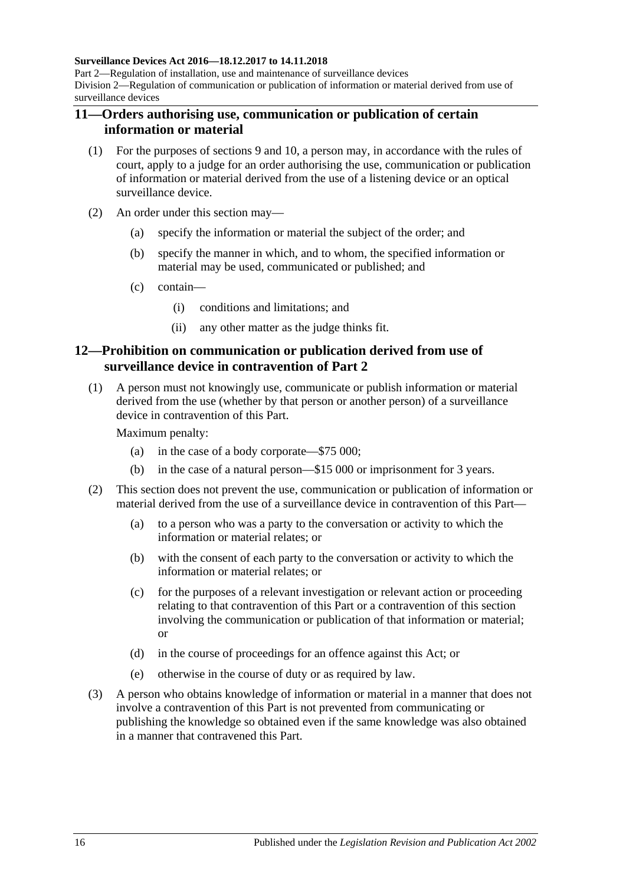#### **Surveillance Devices Act 2016—18.12.2017 to 14.11.2018**

Part 2—Regulation of installation, use and maintenance of surveillance devices Division 2—Regulation of communication or publication of information or material derived from use of surveillance devices

### <span id="page-15-0"></span>**11—Orders authorising use, communication or publication of certain information or material**

- (1) For the purposes of [sections](#page-13-2) 9 and [10,](#page-14-0) a person may, in accordance with the rules of court, apply to a judge for an order authorising the use, communication or publication of information or material derived from the use of a listening device or an optical surveillance device.
- (2) An order under this section may—
	- (a) specify the information or material the subject of the order; and
	- (b) specify the manner in which, and to whom, the specified information or material may be used, communicated or published; and
	- (c) contain—
		- (i) conditions and limitations; and
		- (ii) any other matter as the judge thinks fit.

## <span id="page-15-1"></span>**12—Prohibition on communication or publication derived from use of surveillance device in contravention of [Part](#page-8-0) 2**

(1) A person must not knowingly use, communicate or publish information or material derived from the use (whether by that person or another person) of a surveillance device in contravention of this Part.

- (a) in the case of a body corporate—\$75 000;
- (b) in the case of a natural person—\$15 000 or imprisonment for 3 years.
- (2) This section does not prevent the use, communication or publication of information or material derived from the use of a surveillance device in contravention of this Part—
	- (a) to a person who was a party to the conversation or activity to which the information or material relates; or
	- (b) with the consent of each party to the conversation or activity to which the information or material relates; or
	- (c) for the purposes of a relevant investigation or relevant action or proceeding relating to that contravention of this Part or a contravention of this section involving the communication or publication of that information or material; or
	- (d) in the course of proceedings for an offence against this Act; or
	- (e) otherwise in the course of duty or as required by law.
- (3) A person who obtains knowledge of information or material in a manner that does not involve a contravention of this Part is not prevented from communicating or publishing the knowledge so obtained even if the same knowledge was also obtained in a manner that contravened this Part.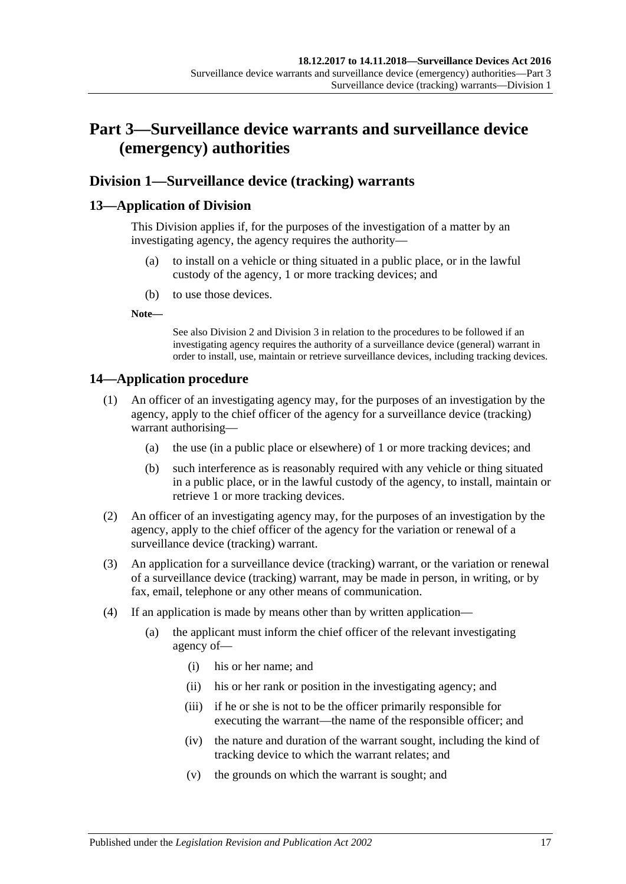# <span id="page-16-0"></span>**Part 3—Surveillance device warrants and surveillance device (emergency) authorities**

## <span id="page-16-1"></span>**Division 1—Surveillance device (tracking) warrants**

## <span id="page-16-2"></span>**13—Application of Division**

This Division applies if, for the purposes of the investigation of a matter by an investigating agency, the agency requires the authority—

- (a) to install on a vehicle or thing situated in a public place, or in the lawful custody of the agency, 1 or more tracking devices; and
- (b) to use those devices.

**Note—**

See also [Division](#page-18-0) 2 and [Division](#page-23-0) 3 in relation to the procedures to be followed if an investigating agency requires the authority of a surveillance device (general) warrant in order to install, use, maintain or retrieve surveillance devices, including tracking devices.

## <span id="page-16-3"></span>**14—Application procedure**

- (1) An officer of an investigating agency may, for the purposes of an investigation by the agency, apply to the chief officer of the agency for a surveillance device (tracking) warrant authorising—
	- (a) the use (in a public place or elsewhere) of 1 or more tracking devices; and
	- (b) such interference as is reasonably required with any vehicle or thing situated in a public place, or in the lawful custody of the agency, to install, maintain or retrieve 1 or more tracking devices.
- (2) An officer of an investigating agency may, for the purposes of an investigation by the agency, apply to the chief officer of the agency for the variation or renewal of a surveillance device (tracking) warrant.
- (3) An application for a surveillance device (tracking) warrant, or the variation or renewal of a surveillance device (tracking) warrant, may be made in person, in writing, or by fax, email, telephone or any other means of communication.
- (4) If an application is made by means other than by written application—
	- (a) the applicant must inform the chief officer of the relevant investigating agency of—
		- (i) his or her name; and
		- (ii) his or her rank or position in the investigating agency; and
		- (iii) if he or she is not to be the officer primarily responsible for executing the warrant—the name of the responsible officer; and
		- (iv) the nature and duration of the warrant sought, including the kind of tracking device to which the warrant relates; and
		- (v) the grounds on which the warrant is sought; and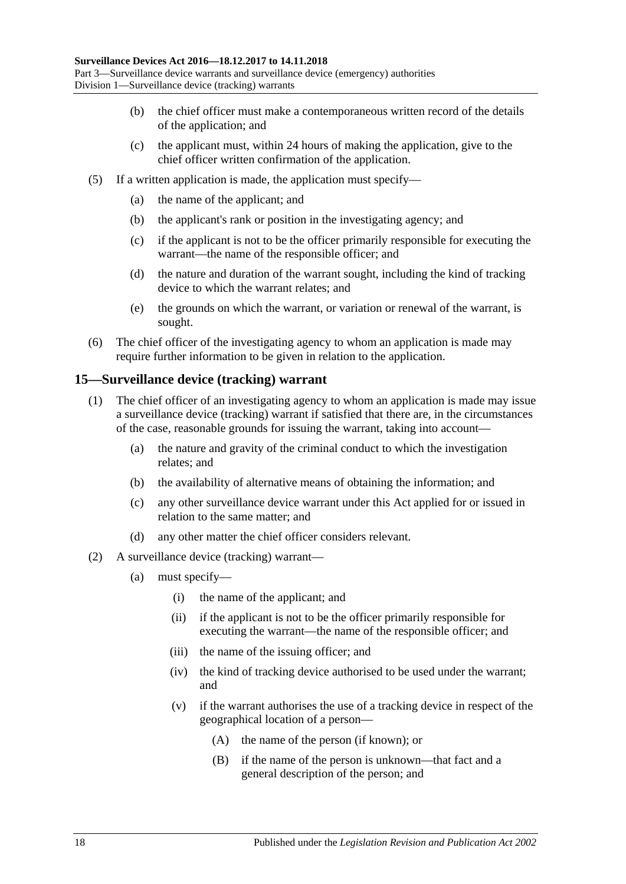- (b) the chief officer must make a contemporaneous written record of the details of the application; and
- (c) the applicant must, within 24 hours of making the application, give to the chief officer written confirmation of the application.
- (5) If a written application is made, the application must specify—
	- (a) the name of the applicant; and
	- (b) the applicant's rank or position in the investigating agency; and
	- (c) if the applicant is not to be the officer primarily responsible for executing the warrant—the name of the responsible officer; and
	- (d) the nature and duration of the warrant sought, including the kind of tracking device to which the warrant relates; and
	- (e) the grounds on which the warrant, or variation or renewal of the warrant, is sought.
- (6) The chief officer of the investigating agency to whom an application is made may require further information to be given in relation to the application.

## <span id="page-17-0"></span>**15—Surveillance device (tracking) warrant**

- (1) The chief officer of an investigating agency to whom an application is made may issue a surveillance device (tracking) warrant if satisfied that there are, in the circumstances of the case, reasonable grounds for issuing the warrant, taking into account—
	- (a) the nature and gravity of the criminal conduct to which the investigation relates; and
	- (b) the availability of alternative means of obtaining the information; and
	- (c) any other surveillance device warrant under this Act applied for or issued in relation to the same matter; and
	- (d) any other matter the chief officer considers relevant.
- (2) A surveillance device (tracking) warrant—
	- (a) must specify—
		- (i) the name of the applicant; and
		- (ii) if the applicant is not to be the officer primarily responsible for executing the warrant—the name of the responsible officer; and
		- (iii) the name of the issuing officer; and
		- (iv) the kind of tracking device authorised to be used under the warrant; and
		- (v) if the warrant authorises the use of a tracking device in respect of the geographical location of a person—
			- (A) the name of the person (if known); or
			- (B) if the name of the person is unknown—that fact and a general description of the person; and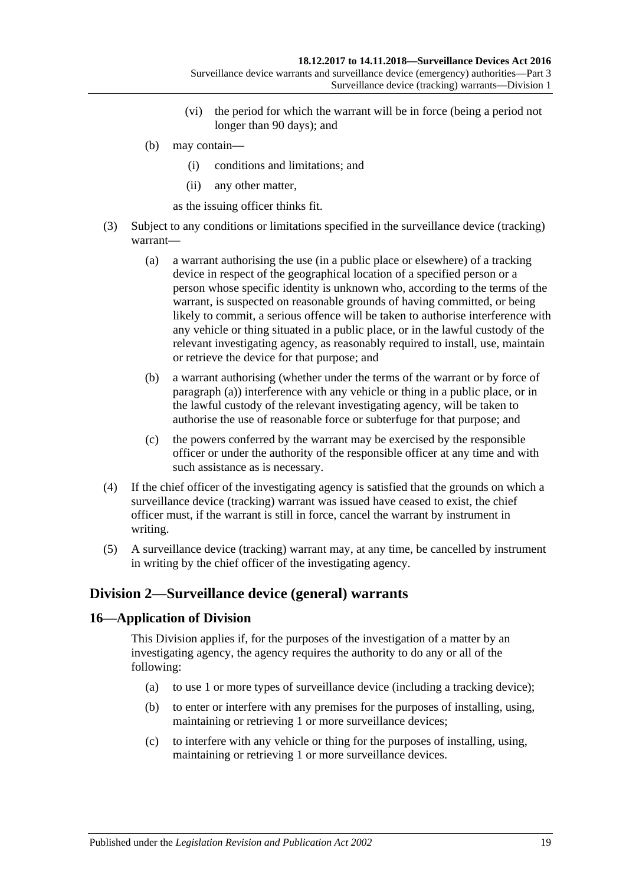- (vi) the period for which the warrant will be in force (being a period not longer than 90 days); and
- (b) may contain—
	- (i) conditions and limitations; and
	- (ii) any other matter,

as the issuing officer thinks fit.

- <span id="page-18-2"></span>(3) Subject to any conditions or limitations specified in the surveillance device (tracking) warrant—
	- (a) a warrant authorising the use (in a public place or elsewhere) of a tracking device in respect of the geographical location of a specified person or a person whose specific identity is unknown who, according to the terms of the warrant, is suspected on reasonable grounds of having committed, or being likely to commit, a serious offence will be taken to authorise interference with any vehicle or thing situated in a public place, or in the lawful custody of the relevant investigating agency, as reasonably required to install, use, maintain or retrieve the device for that purpose; and
	- (b) a warrant authorising (whether under the terms of the warrant or by force of [paragraph](#page-18-2) (a)) interference with any vehicle or thing in a public place, or in the lawful custody of the relevant investigating agency, will be taken to authorise the use of reasonable force or subterfuge for that purpose; and
	- (c) the powers conferred by the warrant may be exercised by the responsible officer or under the authority of the responsible officer at any time and with such assistance as is necessary.
- (4) If the chief officer of the investigating agency is satisfied that the grounds on which a surveillance device (tracking) warrant was issued have ceased to exist, the chief officer must, if the warrant is still in force, cancel the warrant by instrument in writing.
- (5) A surveillance device (tracking) warrant may, at any time, be cancelled by instrument in writing by the chief officer of the investigating agency.

## <span id="page-18-0"></span>**Division 2—Surveillance device (general) warrants**

## <span id="page-18-1"></span>**16—Application of Division**

This Division applies if, for the purposes of the investigation of a matter by an investigating agency, the agency requires the authority to do any or all of the following:

- (a) to use 1 or more types of surveillance device (including a tracking device);
- (b) to enter or interfere with any premises for the purposes of installing, using, maintaining or retrieving 1 or more surveillance devices;
- (c) to interfere with any vehicle or thing for the purposes of installing, using, maintaining or retrieving 1 or more surveillance devices.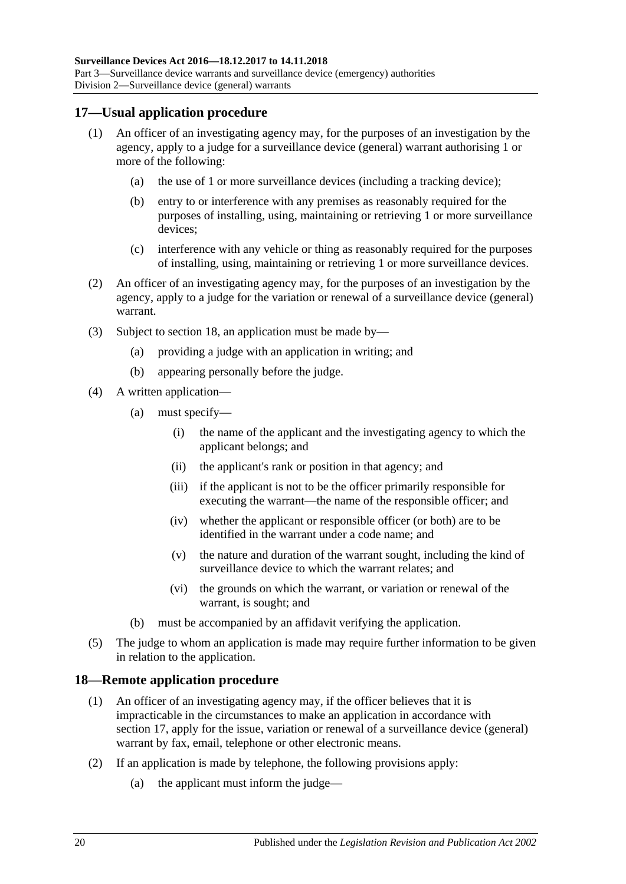### <span id="page-19-0"></span>**17—Usual application procedure**

- (1) An officer of an investigating agency may, for the purposes of an investigation by the agency, apply to a judge for a surveillance device (general) warrant authorising 1 or more of the following:
	- (a) the use of 1 or more surveillance devices (including a tracking device);
	- (b) entry to or interference with any premises as reasonably required for the purposes of installing, using, maintaining or retrieving 1 or more surveillance devices;
	- (c) interference with any vehicle or thing as reasonably required for the purposes of installing, using, maintaining or retrieving 1 or more surveillance devices.
- (2) An officer of an investigating agency may, for the purposes of an investigation by the agency, apply to a judge for the variation or renewal of a surveillance device (general) warrant.
- (3) Subject to [section](#page-19-1) 18, an application must be made by—
	- (a) providing a judge with an application in writing; and
	- (b) appearing personally before the judge.
- (4) A written application—
	- (a) must specify—
		- (i) the name of the applicant and the investigating agency to which the applicant belongs; and
		- (ii) the applicant's rank or position in that agency; and
		- (iii) if the applicant is not to be the officer primarily responsible for executing the warrant—the name of the responsible officer; and
		- (iv) whether the applicant or responsible officer (or both) are to be identified in the warrant under a code name; and
		- (v) the nature and duration of the warrant sought, including the kind of surveillance device to which the warrant relates; and
		- (vi) the grounds on which the warrant, or variation or renewal of the warrant, is sought; and
	- (b) must be accompanied by an affidavit verifying the application.
- (5) The judge to whom an application is made may require further information to be given in relation to the application.

#### <span id="page-19-1"></span>**18—Remote application procedure**

- (1) An officer of an investigating agency may, if the officer believes that it is impracticable in the circumstances to make an application in accordance with [section](#page-19-0) 17, apply for the issue, variation or renewal of a surveillance device (general) warrant by fax, email, telephone or other electronic means.
- (2) If an application is made by telephone, the following provisions apply:
	- (a) the applicant must inform the judge—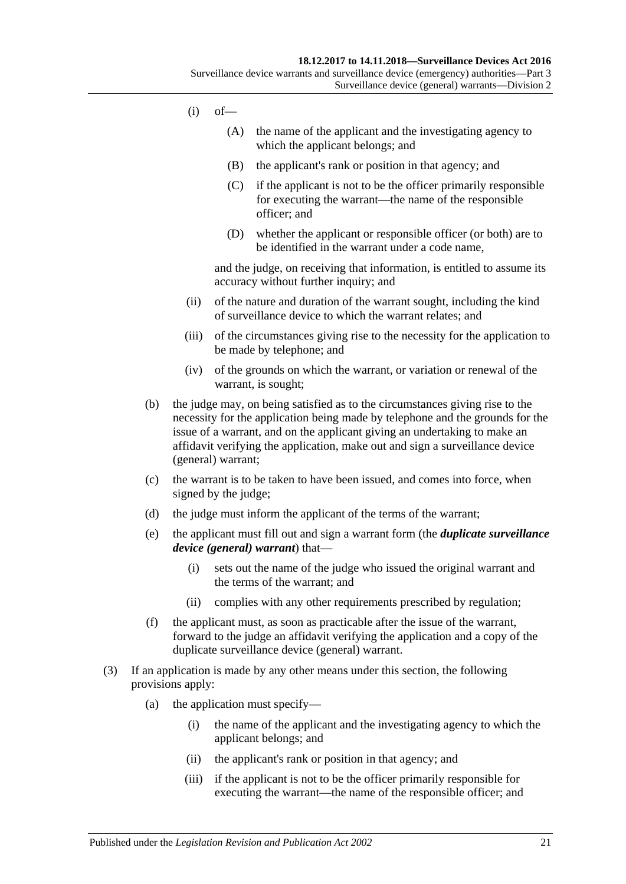- $(i)$  of  $-$ 
	- (A) the name of the applicant and the investigating agency to which the applicant belongs; and
	- (B) the applicant's rank or position in that agency; and
	- (C) if the applicant is not to be the officer primarily responsible for executing the warrant—the name of the responsible officer; and
	- (D) whether the applicant or responsible officer (or both) are to be identified in the warrant under a code name,

and the judge, on receiving that information, is entitled to assume its accuracy without further inquiry; and

- (ii) of the nature and duration of the warrant sought, including the kind of surveillance device to which the warrant relates; and
- (iii) of the circumstances giving rise to the necessity for the application to be made by telephone; and
- (iv) of the grounds on which the warrant, or variation or renewal of the warrant, is sought;
- (b) the judge may, on being satisfied as to the circumstances giving rise to the necessity for the application being made by telephone and the grounds for the issue of a warrant, and on the applicant giving an undertaking to make an affidavit verifying the application, make out and sign a surveillance device (general) warrant;
- (c) the warrant is to be taken to have been issued, and comes into force, when signed by the judge;
- <span id="page-20-0"></span>(d) the judge must inform the applicant of the terms of the warrant;
- (e) the applicant must fill out and sign a warrant form (the *duplicate surveillance device (general) warrant*) that—
	- (i) sets out the name of the judge who issued the original warrant and the terms of the warrant; and
	- (ii) complies with any other requirements prescribed by regulation;
- (f) the applicant must, as soon as practicable after the issue of the warrant, forward to the judge an affidavit verifying the application and a copy of the duplicate surveillance device (general) warrant.
- (3) If an application is made by any other means under this section, the following provisions apply:
	- (a) the application must specify—
		- (i) the name of the applicant and the investigating agency to which the applicant belongs; and
		- (ii) the applicant's rank or position in that agency; and
		- (iii) if the applicant is not to be the officer primarily responsible for executing the warrant—the name of the responsible officer; and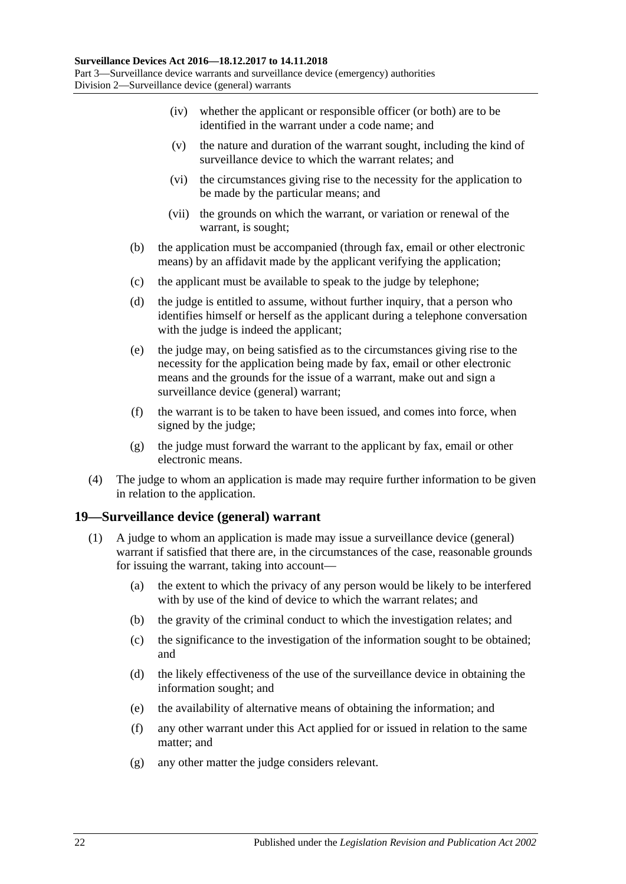- (iv) whether the applicant or responsible officer (or both) are to be identified in the warrant under a code name; and
- (v) the nature and duration of the warrant sought, including the kind of surveillance device to which the warrant relates; and
- (vi) the circumstances giving rise to the necessity for the application to be made by the particular means; and
- (vii) the grounds on which the warrant, or variation or renewal of the warrant, is sought;
- (b) the application must be accompanied (through fax, email or other electronic means) by an affidavit made by the applicant verifying the application;
- (c) the applicant must be available to speak to the judge by telephone;
- (d) the judge is entitled to assume, without further inquiry, that a person who identifies himself or herself as the applicant during a telephone conversation with the judge is indeed the applicant;
- (e) the judge may, on being satisfied as to the circumstances giving rise to the necessity for the application being made by fax, email or other electronic means and the grounds for the issue of a warrant, make out and sign a surveillance device (general) warrant;
- (f) the warrant is to be taken to have been issued, and comes into force, when signed by the judge;
- (g) the judge must forward the warrant to the applicant by fax, email or other electronic means.
- (4) The judge to whom an application is made may require further information to be given in relation to the application.

## <span id="page-21-0"></span>**19—Surveillance device (general) warrant**

- (1) A judge to whom an application is made may issue a surveillance device (general) warrant if satisfied that there are, in the circumstances of the case, reasonable grounds for issuing the warrant, taking into account—
	- (a) the extent to which the privacy of any person would be likely to be interfered with by use of the kind of device to which the warrant relates; and
	- (b) the gravity of the criminal conduct to which the investigation relates; and
	- (c) the significance to the investigation of the information sought to be obtained; and
	- (d) the likely effectiveness of the use of the surveillance device in obtaining the information sought; and
	- (e) the availability of alternative means of obtaining the information; and
	- (f) any other warrant under this Act applied for or issued in relation to the same matter; and
	- (g) any other matter the judge considers relevant.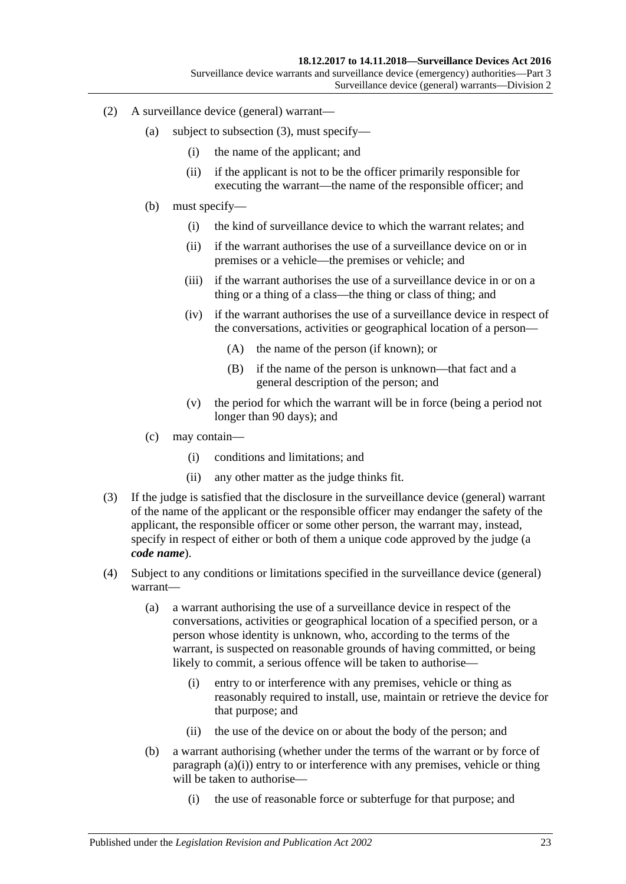- (2) A surveillance device (general) warrant—
	- (a) subject to [subsection](#page-22-0) (3), must specify—
		- (i) the name of the applicant; and
		- (ii) if the applicant is not to be the officer primarily responsible for executing the warrant—the name of the responsible officer; and
	- (b) must specify—
		- (i) the kind of surveillance device to which the warrant relates; and
		- (ii) if the warrant authorises the use of a surveillance device on or in premises or a vehicle—the premises or vehicle; and
		- (iii) if the warrant authorises the use of a surveillance device in or on a thing or a thing of a class—the thing or class of thing; and
		- (iv) if the warrant authorises the use of a surveillance device in respect of the conversations, activities or geographical location of a person—
			- (A) the name of the person (if known); or
			- (B) if the name of the person is unknown—that fact and a general description of the person; and
		- (v) the period for which the warrant will be in force (being a period not longer than 90 days); and
	- (c) may contain—
		- (i) conditions and limitations; and
		- (ii) any other matter as the judge thinks fit.
- <span id="page-22-0"></span>(3) If the judge is satisfied that the disclosure in the surveillance device (general) warrant of the name of the applicant or the responsible officer may endanger the safety of the applicant, the responsible officer or some other person, the warrant may, instead, specify in respect of either or both of them a unique code approved by the judge (a *code name*).
- <span id="page-22-1"></span>(4) Subject to any conditions or limitations specified in the surveillance device (general) warrant—
	- (a) a warrant authorising the use of a surveillance device in respect of the conversations, activities or geographical location of a specified person, or a person whose identity is unknown, who, according to the terms of the warrant, is suspected on reasonable grounds of having committed, or being likely to commit, a serious offence will be taken to authorise—
		- (i) entry to or interference with any premises, vehicle or thing as reasonably required to install, use, maintain or retrieve the device for that purpose; and
		- (ii) the use of the device on or about the body of the person; and
	- (b) a warrant authorising (whether under the terms of the warrant or by force of [paragraph](#page-22-1)  $(a)(i)$ ) entry to or interference with any premises, vehicle or thing will be taken to authorise—
		- (i) the use of reasonable force or subterfuge for that purpose; and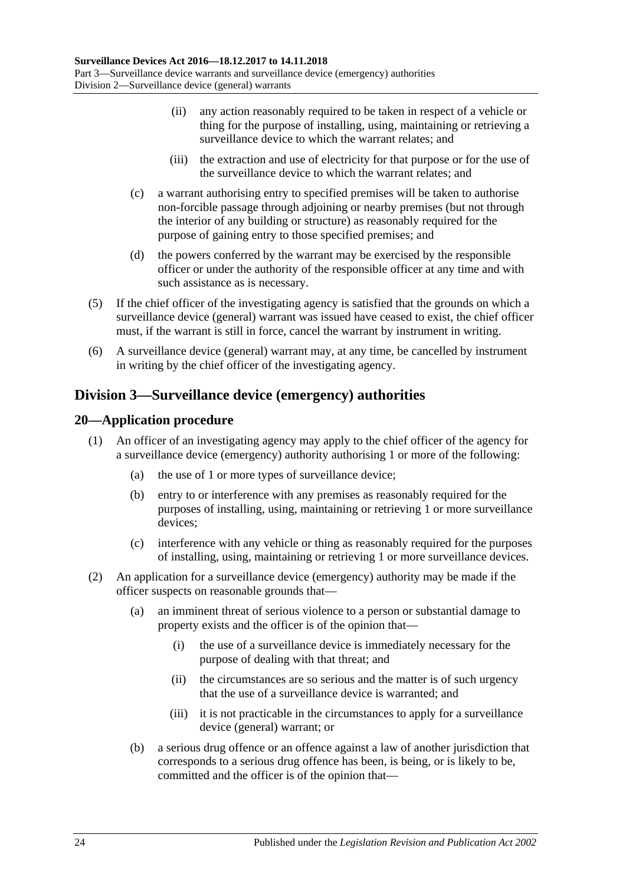- (ii) any action reasonably required to be taken in respect of a vehicle or thing for the purpose of installing, using, maintaining or retrieving a surveillance device to which the warrant relates; and
- (iii) the extraction and use of electricity for that purpose or for the use of the surveillance device to which the warrant relates; and
- (c) a warrant authorising entry to specified premises will be taken to authorise non-forcible passage through adjoining or nearby premises (but not through the interior of any building or structure) as reasonably required for the purpose of gaining entry to those specified premises; and
- (d) the powers conferred by the warrant may be exercised by the responsible officer or under the authority of the responsible officer at any time and with such assistance as is necessary.
- (5) If the chief officer of the investigating agency is satisfied that the grounds on which a surveillance device (general) warrant was issued have ceased to exist, the chief officer must, if the warrant is still in force, cancel the warrant by instrument in writing.
- (6) A surveillance device (general) warrant may, at any time, be cancelled by instrument in writing by the chief officer of the investigating agency.

# <span id="page-23-0"></span>**Division 3—Surveillance device (emergency) authorities**

## <span id="page-23-1"></span>**20—Application procedure**

- (1) An officer of an investigating agency may apply to the chief officer of the agency for a surveillance device (emergency) authority authorising 1 or more of the following:
	- (a) the use of 1 or more types of surveillance device;
	- (b) entry to or interference with any premises as reasonably required for the purposes of installing, using, maintaining or retrieving 1 or more surveillance devices;
	- (c) interference with any vehicle or thing as reasonably required for the purposes of installing, using, maintaining or retrieving 1 or more surveillance devices.
- (2) An application for a surveillance device (emergency) authority may be made if the officer suspects on reasonable grounds that—
	- (a) an imminent threat of serious violence to a person or substantial damage to property exists and the officer is of the opinion that—
		- (i) the use of a surveillance device is immediately necessary for the purpose of dealing with that threat; and
		- (ii) the circumstances are so serious and the matter is of such urgency that the use of a surveillance device is warranted; and
		- (iii) it is not practicable in the circumstances to apply for a surveillance device (general) warrant; or
	- (b) a serious drug offence or an offence against a law of another jurisdiction that corresponds to a serious drug offence has been, is being, or is likely to be, committed and the officer is of the opinion that—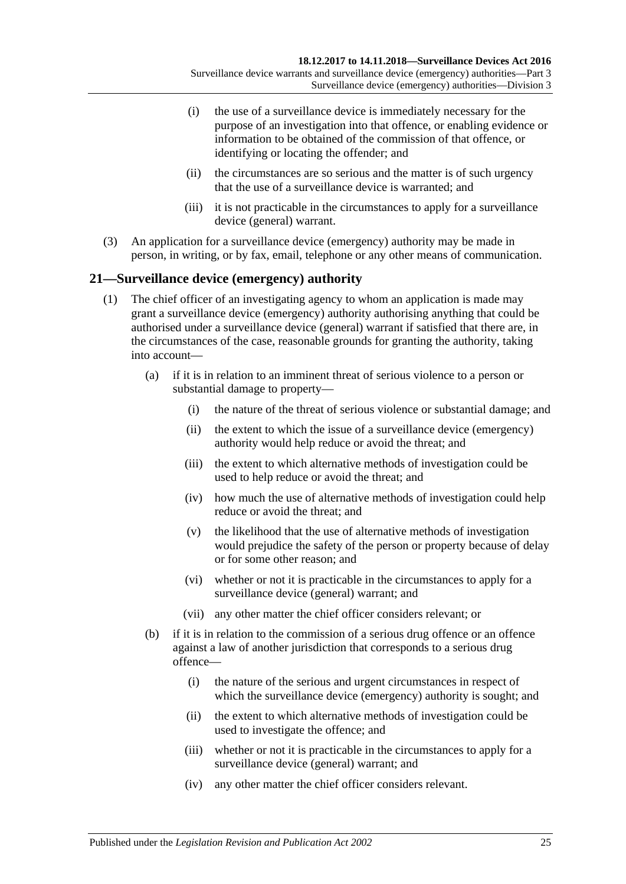- (i) the use of a surveillance device is immediately necessary for the purpose of an investigation into that offence, or enabling evidence or information to be obtained of the commission of that offence, or identifying or locating the offender; and
- (ii) the circumstances are so serious and the matter is of such urgency that the use of a surveillance device is warranted; and
- (iii) it is not practicable in the circumstances to apply for a surveillance device (general) warrant.
- (3) An application for a surveillance device (emergency) authority may be made in person, in writing, or by fax, email, telephone or any other means of communication.

## <span id="page-24-0"></span>**21—Surveillance device (emergency) authority**

- (1) The chief officer of an investigating agency to whom an application is made may grant a surveillance device (emergency) authority authorising anything that could be authorised under a surveillance device (general) warrant if satisfied that there are, in the circumstances of the case, reasonable grounds for granting the authority, taking into account—
	- (a) if it is in relation to an imminent threat of serious violence to a person or substantial damage to property—
		- (i) the nature of the threat of serious violence or substantial damage; and
		- (ii) the extent to which the issue of a surveillance device (emergency) authority would help reduce or avoid the threat; and
		- (iii) the extent to which alternative methods of investigation could be used to help reduce or avoid the threat; and
		- (iv) how much the use of alternative methods of investigation could help reduce or avoid the threat; and
		- (v) the likelihood that the use of alternative methods of investigation would prejudice the safety of the person or property because of delay or for some other reason; and
		- (vi) whether or not it is practicable in the circumstances to apply for a surveillance device (general) warrant; and
		- (vii) any other matter the chief officer considers relevant; or
	- (b) if it is in relation to the commission of a serious drug offence or an offence against a law of another jurisdiction that corresponds to a serious drug offence—
		- (i) the nature of the serious and urgent circumstances in respect of which the surveillance device (emergency) authority is sought; and
		- (ii) the extent to which alternative methods of investigation could be used to investigate the offence; and
		- (iii) whether or not it is practicable in the circumstances to apply for a surveillance device (general) warrant; and
		- (iv) any other matter the chief officer considers relevant.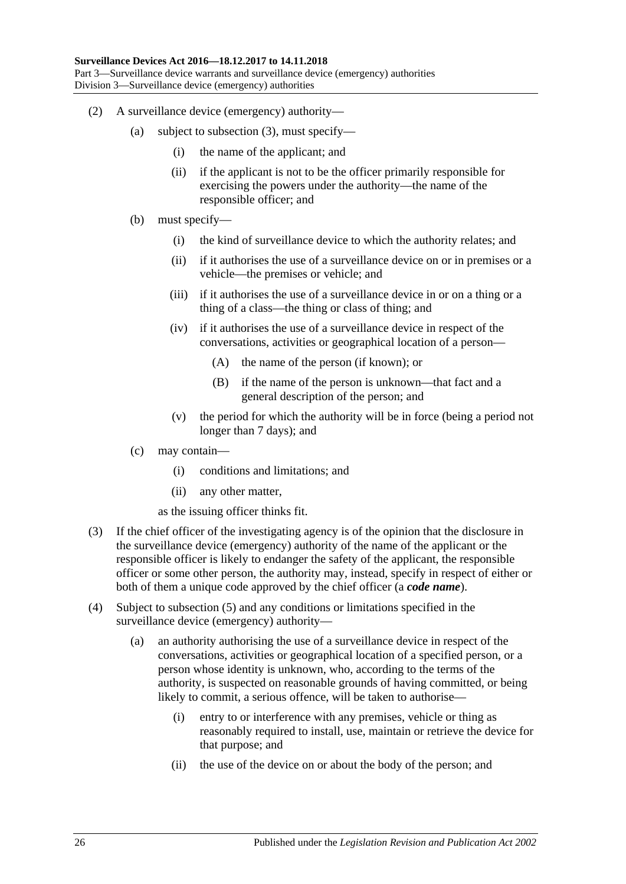- (2) A surveillance device (emergency) authority—
	- (a) subject to [subsection](#page-25-0) (3), must specify—
		- (i) the name of the applicant; and
		- (ii) if the applicant is not to be the officer primarily responsible for exercising the powers under the authority—the name of the responsible officer; and
	- (b) must specify—
		- (i) the kind of surveillance device to which the authority relates; and
		- (ii) if it authorises the use of a surveillance device on or in premises or a vehicle—the premises or vehicle; and
		- (iii) if it authorises the use of a surveillance device in or on a thing or a thing of a class—the thing or class of thing; and
		- (iv) if it authorises the use of a surveillance device in respect of the conversations, activities or geographical location of a person—
			- (A) the name of the person (if known); or
			- (B) if the name of the person is unknown—that fact and a general description of the person; and
		- (v) the period for which the authority will be in force (being a period not longer than 7 days); and
	- (c) may contain—
		- (i) conditions and limitations; and
		- (ii) any other matter,

as the issuing officer thinks fit.

- <span id="page-25-0"></span>(3) If the chief officer of the investigating agency is of the opinion that the disclosure in the surveillance device (emergency) authority of the name of the applicant or the responsible officer is likely to endanger the safety of the applicant, the responsible officer or some other person, the authority may, instead, specify in respect of either or both of them a unique code approved by the chief officer (a *code name*).
- <span id="page-25-1"></span>(4) Subject to [subsection](#page-26-1) (5) and any conditions or limitations specified in the surveillance device (emergency) authority—
	- (a) an authority authorising the use of a surveillance device in respect of the conversations, activities or geographical location of a specified person, or a person whose identity is unknown, who, according to the terms of the authority, is suspected on reasonable grounds of having committed, or being likely to commit, a serious offence, will be taken to authorise—
		- (i) entry to or interference with any premises, vehicle or thing as reasonably required to install, use, maintain or retrieve the device for that purpose; and
		- (ii) the use of the device on or about the body of the person; and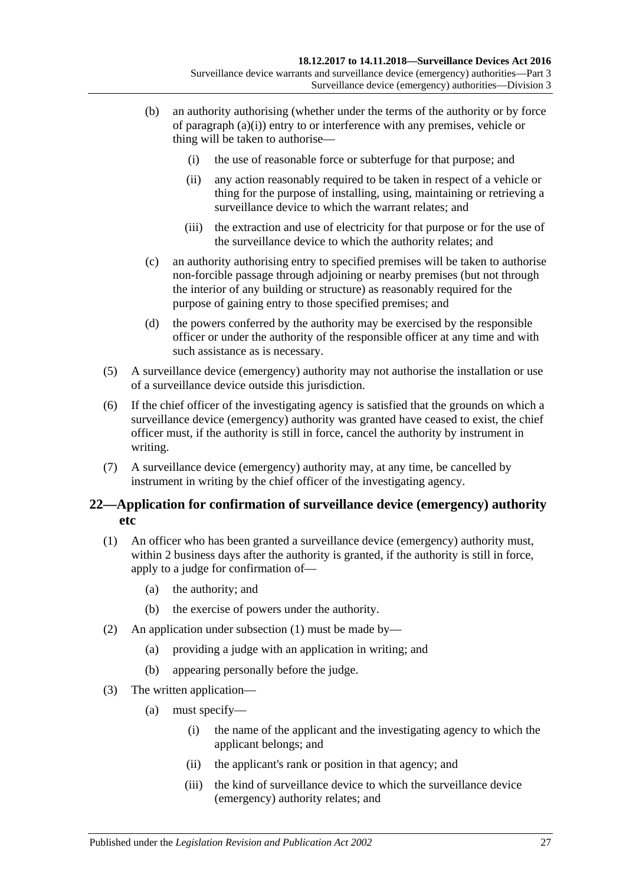- (b) an authority authorising (whether under the terms of the authority or by force of [paragraph](#page-25-1) (a)(i)) entry to or interference with any premises, vehicle or thing will be taken to authorise—
	- (i) the use of reasonable force or subterfuge for that purpose; and
	- (ii) any action reasonably required to be taken in respect of a vehicle or thing for the purpose of installing, using, maintaining or retrieving a surveillance device to which the warrant relates; and
	- (iii) the extraction and use of electricity for that purpose or for the use of the surveillance device to which the authority relates; and
- (c) an authority authorising entry to specified premises will be taken to authorise non-forcible passage through adjoining or nearby premises (but not through the interior of any building or structure) as reasonably required for the purpose of gaining entry to those specified premises; and
- (d) the powers conferred by the authority may be exercised by the responsible officer or under the authority of the responsible officer at any time and with such assistance as is necessary.
- <span id="page-26-1"></span>(5) A surveillance device (emergency) authority may not authorise the installation or use of a surveillance device outside this jurisdiction.
- (6) If the chief officer of the investigating agency is satisfied that the grounds on which a surveillance device (emergency) authority was granted have ceased to exist, the chief officer must, if the authority is still in force, cancel the authority by instrument in writing.
- (7) A surveillance device (emergency) authority may, at any time, be cancelled by instrument in writing by the chief officer of the investigating agency.

## <span id="page-26-0"></span>**22—Application for confirmation of surveillance device (emergency) authority etc**

- <span id="page-26-2"></span>(1) An officer who has been granted a surveillance device (emergency) authority must, within 2 business days after the authority is granted, if the authority is still in force, apply to a judge for confirmation of—
	- (a) the authority; and
	- (b) the exercise of powers under the authority.
- (2) An application under [subsection](#page-26-2) (1) must be made by—
	- (a) providing a judge with an application in writing; and
	- (b) appearing personally before the judge.
- (3) The written application—
	- (a) must specify—
		- (i) the name of the applicant and the investigating agency to which the applicant belongs; and
		- (ii) the applicant's rank or position in that agency; and
		- (iii) the kind of surveillance device to which the surveillance device (emergency) authority relates; and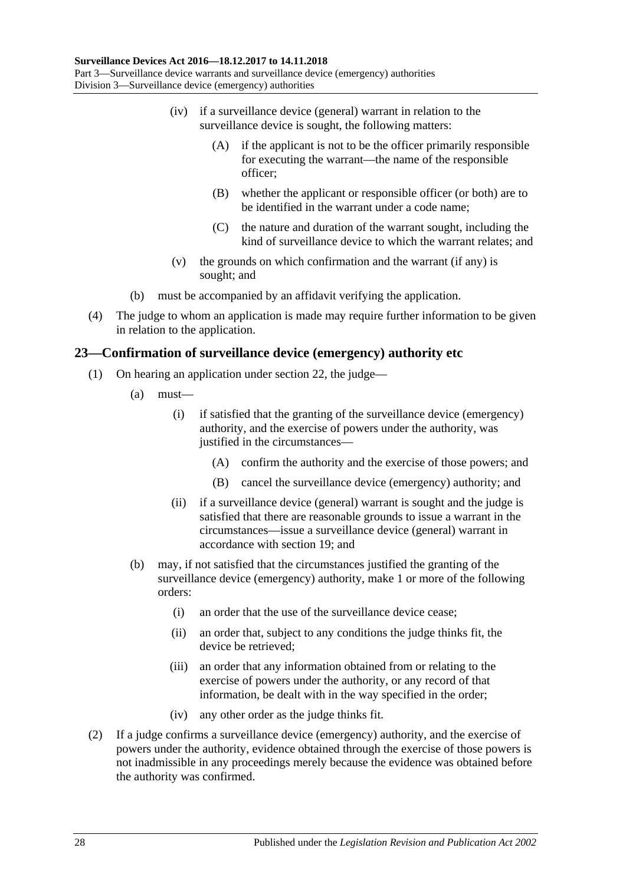- (iv) if a surveillance device (general) warrant in relation to the surveillance device is sought, the following matters:
	- (A) if the applicant is not to be the officer primarily responsible for executing the warrant—the name of the responsible officer;
	- (B) whether the applicant or responsible officer (or both) are to be identified in the warrant under a code name;
	- (C) the nature and duration of the warrant sought, including the kind of surveillance device to which the warrant relates; and
- (v) the grounds on which confirmation and the warrant (if any) is sought; and
- (b) must be accompanied by an affidavit verifying the application.
- (4) The judge to whom an application is made may require further information to be given in relation to the application.

#### <span id="page-27-0"></span>**23—Confirmation of surveillance device (emergency) authority etc**

- (1) On hearing an application under [section](#page-26-0) 22, the judge—
	- (a) must—
		- (i) if satisfied that the granting of the surveillance device (emergency) authority, and the exercise of powers under the authority, was justified in the circumstances—
			- (A) confirm the authority and the exercise of those powers; and
			- (B) cancel the surveillance device (emergency) authority; and
		- (ii) if a surveillance device (general) warrant is sought and the judge is satisfied that there are reasonable grounds to issue a warrant in the circumstances—issue a surveillance device (general) warrant in accordance with [section](#page-21-0) 19; and
	- (b) may, if not satisfied that the circumstances justified the granting of the surveillance device (emergency) authority, make 1 or more of the following orders:
		- (i) an order that the use of the surveillance device cease;
		- (ii) an order that, subject to any conditions the judge thinks fit, the device be retrieved;
		- (iii) an order that any information obtained from or relating to the exercise of powers under the authority, or any record of that information, be dealt with in the way specified in the order;
		- (iv) any other order as the judge thinks fit.
- (2) If a judge confirms a surveillance device (emergency) authority, and the exercise of powers under the authority, evidence obtained through the exercise of those powers is not inadmissible in any proceedings merely because the evidence was obtained before the authority was confirmed.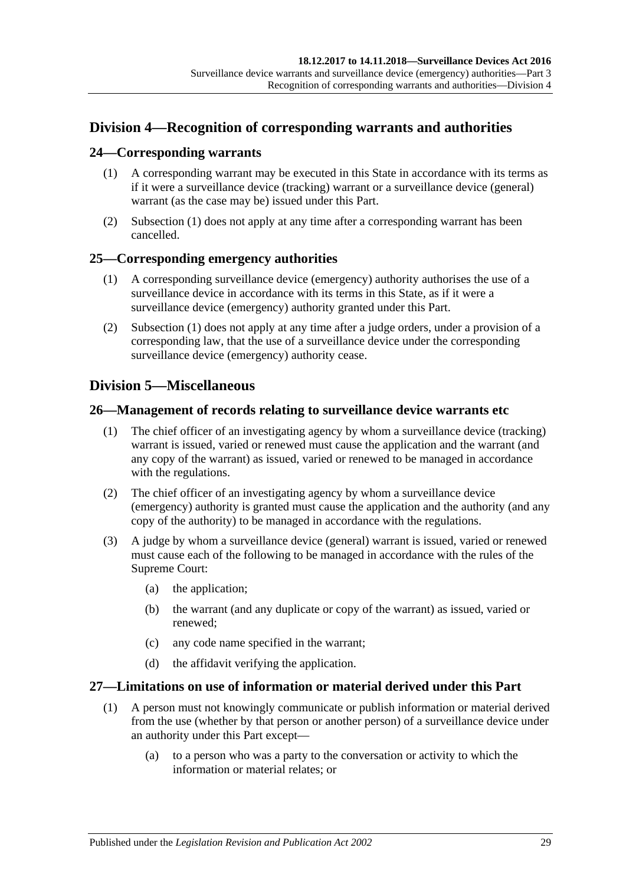# <span id="page-28-0"></span>**Division 4—Recognition of corresponding warrants and authorities**

#### <span id="page-28-6"></span><span id="page-28-1"></span>**24—Corresponding warrants**

- (1) A corresponding warrant may be executed in this State in accordance with its terms as if it were a surveillance device (tracking) warrant or a surveillance device (general) warrant (as the case may be) issued under this Part.
- (2) [Subsection](#page-28-6) (1) does not apply at any time after a corresponding warrant has been cancelled.

#### <span id="page-28-7"></span><span id="page-28-2"></span>**25—Corresponding emergency authorities**

- (1) A corresponding surveillance device (emergency) authority authorises the use of a surveillance device in accordance with its terms in this State, as if it were a surveillance device (emergency) authority granted under this Part.
- (2) [Subsection](#page-28-7) (1) does not apply at any time after a judge orders, under a provision of a corresponding law, that the use of a surveillance device under the corresponding surveillance device (emergency) authority cease.

## <span id="page-28-3"></span>**Division 5—Miscellaneous**

#### <span id="page-28-4"></span>**26—Management of records relating to surveillance device warrants etc**

- (1) The chief officer of an investigating agency by whom a surveillance device (tracking) warrant is issued, varied or renewed must cause the application and the warrant (and any copy of the warrant) as issued, varied or renewed to be managed in accordance with the regulations.
- (2) The chief officer of an investigating agency by whom a surveillance device (emergency) authority is granted must cause the application and the authority (and any copy of the authority) to be managed in accordance with the regulations.
- (3) A judge by whom a surveillance device (general) warrant is issued, varied or renewed must cause each of the following to be managed in accordance with the rules of the Supreme Court:
	- (a) the application;
	- (b) the warrant (and any duplicate or copy of the warrant) as issued, varied or renewed;
	- (c) any code name specified in the warrant;
	- (d) the affidavit verifying the application.

#### <span id="page-28-5"></span>**27—Limitations on use of information or material derived under this Part**

- (1) A person must not knowingly communicate or publish information or material derived from the use (whether by that person or another person) of a surveillance device under an authority under this Part except—
	- (a) to a person who was a party to the conversation or activity to which the information or material relates; or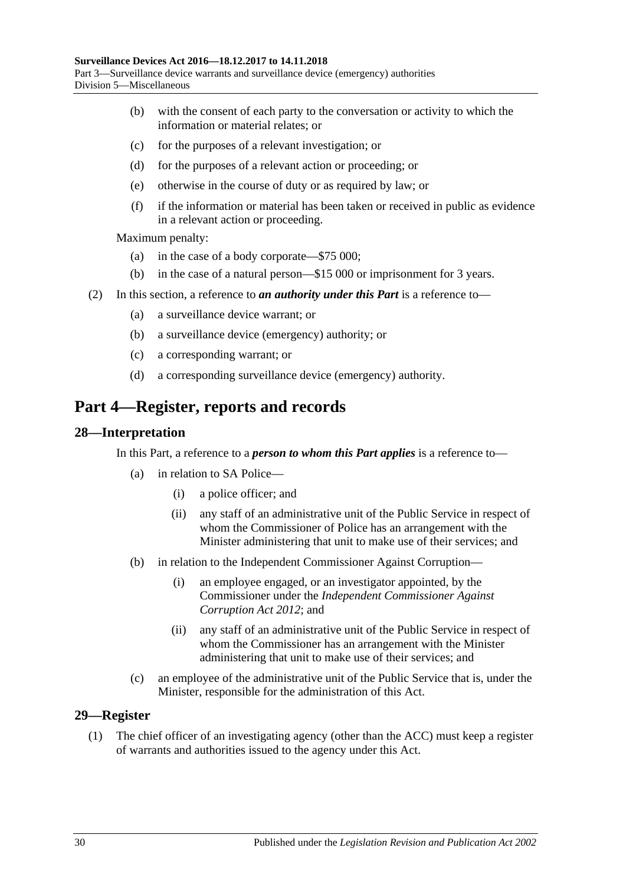- (b) with the consent of each party to the conversation or activity to which the information or material relates; or
- (c) for the purposes of a relevant investigation; or
- (d) for the purposes of a relevant action or proceeding; or
- (e) otherwise in the course of duty or as required by law; or
- (f) if the information or material has been taken or received in public as evidence in a relevant action or proceeding.

Maximum penalty:

- (a) in the case of a body corporate—\$75 000;
- (b) in the case of a natural person—\$15 000 or imprisonment for 3 years.
- (2) In this section, a reference to *an authority under this Part* is a reference to—
	- (a) a surveillance device warrant; or
	- (b) a surveillance device (emergency) authority; or
	- (c) a corresponding warrant; or
	- (d) a corresponding surveillance device (emergency) authority.

# <span id="page-29-0"></span>**Part 4—Register, reports and records**

#### <span id="page-29-1"></span>**28—Interpretation**

In this Part, a reference to a *person to whom this Part applies* is a reference to—

- (a) in relation to SA Police—
	- (i) a police officer; and
	- (ii) any staff of an administrative unit of the Public Service in respect of whom the Commissioner of Police has an arrangement with the Minister administering that unit to make use of their services; and
- (b) in relation to the Independent Commissioner Against Corruption—
	- (i) an employee engaged, or an investigator appointed, by the Commissioner under the *[Independent Commissioner Against](http://www.legislation.sa.gov.au/index.aspx?action=legref&type=act&legtitle=Independent%20Commissioner%20Against%20Corruption%20Act%202012)  [Corruption Act](http://www.legislation.sa.gov.au/index.aspx?action=legref&type=act&legtitle=Independent%20Commissioner%20Against%20Corruption%20Act%202012) 2012*; and
	- (ii) any staff of an administrative unit of the Public Service in respect of whom the Commissioner has an arrangement with the Minister administering that unit to make use of their services; and
- (c) an employee of the administrative unit of the Public Service that is, under the Minister, responsible for the administration of this Act.

#### <span id="page-29-2"></span>**29—Register**

(1) The chief officer of an investigating agency (other than the ACC) must keep a register of warrants and authorities issued to the agency under this Act.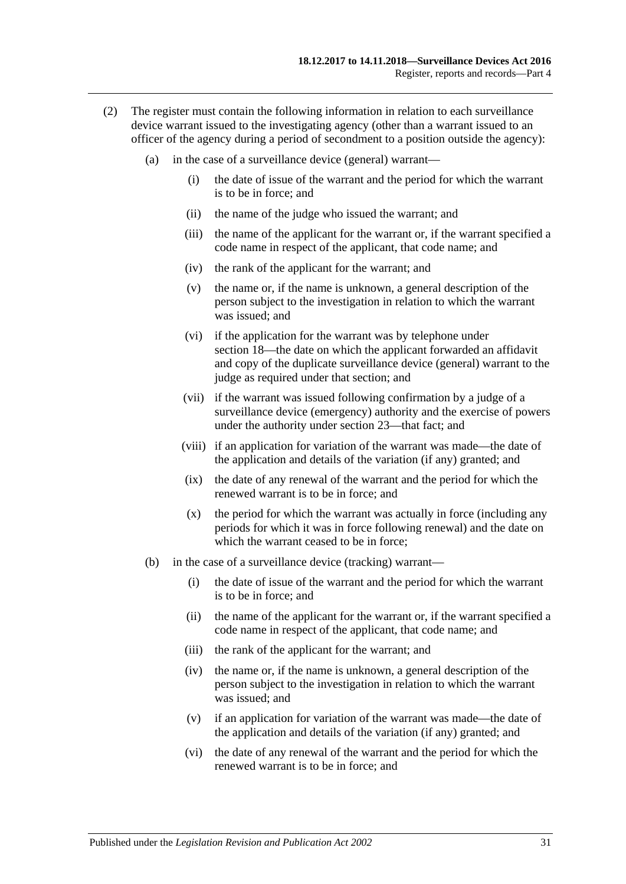- (2) The register must contain the following information in relation to each surveillance device warrant issued to the investigating agency (other than a warrant issued to an officer of the agency during a period of secondment to a position outside the agency):
	- (a) in the case of a surveillance device (general) warrant—
		- (i) the date of issue of the warrant and the period for which the warrant is to be in force; and
		- (ii) the name of the judge who issued the warrant; and
		- (iii) the name of the applicant for the warrant or, if the warrant specified a code name in respect of the applicant, that code name; and
		- (iv) the rank of the applicant for the warrant; and
		- (v) the name or, if the name is unknown, a general description of the person subject to the investigation in relation to which the warrant was issued; and
		- (vi) if the application for the warrant was by telephone under [section](#page-19-1) 18—the date on which the applicant forwarded an affidavit and copy of the duplicate surveillance device (general) warrant to the judge as required under that section; and
		- (vii) if the warrant was issued following confirmation by a judge of a surveillance device (emergency) authority and the exercise of powers under the authority under [section](#page-27-0) 23—that fact; and
		- (viii) if an application for variation of the warrant was made—the date of the application and details of the variation (if any) granted; and
		- (ix) the date of any renewal of the warrant and the period for which the renewed warrant is to be in force; and
		- (x) the period for which the warrant was actually in force (including any periods for which it was in force following renewal) and the date on which the warrant ceased to be in force:
	- (b) in the case of a surveillance device (tracking) warrant—
		- (i) the date of issue of the warrant and the period for which the warrant is to be in force; and
		- (ii) the name of the applicant for the warrant or, if the warrant specified a code name in respect of the applicant, that code name; and
		- (iii) the rank of the applicant for the warrant; and
		- (iv) the name or, if the name is unknown, a general description of the person subject to the investigation in relation to which the warrant was issued; and
		- (v) if an application for variation of the warrant was made—the date of the application and details of the variation (if any) granted; and
		- (vi) the date of any renewal of the warrant and the period for which the renewed warrant is to be in force; and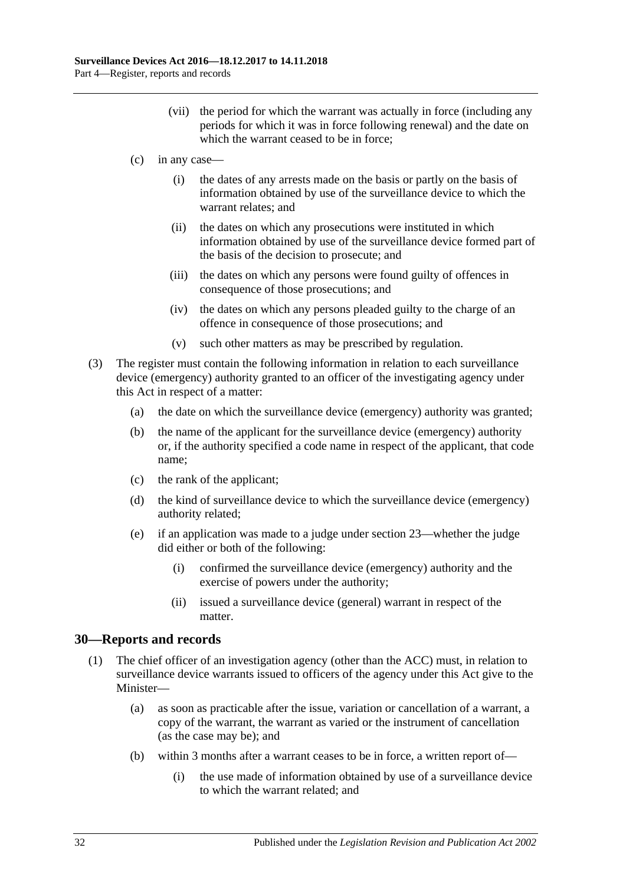- (vii) the period for which the warrant was actually in force (including any periods for which it was in force following renewal) and the date on which the warrant ceased to be in force:
- (c) in any case—
	- (i) the dates of any arrests made on the basis or partly on the basis of information obtained by use of the surveillance device to which the warrant relates; and
	- (ii) the dates on which any prosecutions were instituted in which information obtained by use of the surveillance device formed part of the basis of the decision to prosecute; and
	- (iii) the dates on which any persons were found guilty of offences in consequence of those prosecutions; and
	- (iv) the dates on which any persons pleaded guilty to the charge of an offence in consequence of those prosecutions; and
	- (v) such other matters as may be prescribed by regulation.
- (3) The register must contain the following information in relation to each surveillance device (emergency) authority granted to an officer of the investigating agency under this Act in respect of a matter:
	- (a) the date on which the surveillance device (emergency) authority was granted;
	- (b) the name of the applicant for the surveillance device (emergency) authority or, if the authority specified a code name in respect of the applicant, that code name;
	- (c) the rank of the applicant;
	- (d) the kind of surveillance device to which the surveillance device (emergency) authority related;
	- (e) if an application was made to a judge under [section](#page-27-0) 23—whether the judge did either or both of the following:
		- (i) confirmed the surveillance device (emergency) authority and the exercise of powers under the authority;
		- (ii) issued a surveillance device (general) warrant in respect of the matter.

## <span id="page-31-1"></span><span id="page-31-0"></span>**30—Reports and records**

- (1) The chief officer of an investigation agency (other than the ACC) must, in relation to surveillance device warrants issued to officers of the agency under this Act give to the Minister—
	- (a) as soon as practicable after the issue, variation or cancellation of a warrant, a copy of the warrant, the warrant as varied or the instrument of cancellation (as the case may be); and
	- (b) within 3 months after a warrant ceases to be in force, a written report of—
		- (i) the use made of information obtained by use of a surveillance device to which the warrant related; and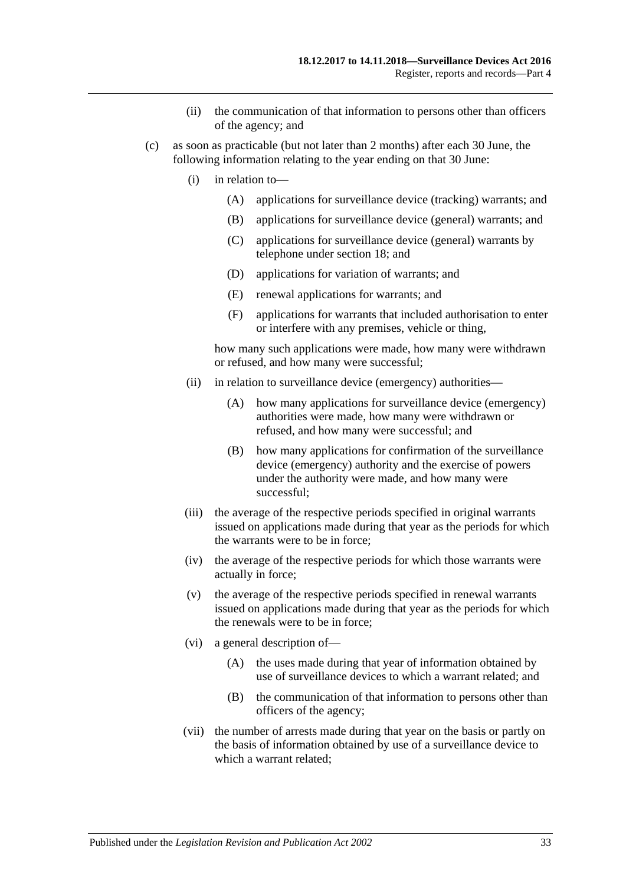- (ii) the communication of that information to persons other than officers of the agency; and
- <span id="page-32-0"></span>(c) as soon as practicable (but not later than 2 months) after each 30 June, the following information relating to the year ending on that 30 June:
	- (i) in relation to—
		- (A) applications for surveillance device (tracking) warrants; and
		- (B) applications for surveillance device (general) warrants; and
		- (C) applications for surveillance device (general) warrants by telephone under [section](#page-19-1) 18; and
		- (D) applications for variation of warrants; and
		- (E) renewal applications for warrants; and
		- (F) applications for warrants that included authorisation to enter or interfere with any premises, vehicle or thing,

how many such applications were made, how many were withdrawn or refused, and how many were successful;

- (ii) in relation to surveillance device (emergency) authorities—
	- (A) how many applications for surveillance device (emergency) authorities were made, how many were withdrawn or refused, and how many were successful; and
	- (B) how many applications for confirmation of the surveillance device (emergency) authority and the exercise of powers under the authority were made, and how many were successful;
- (iii) the average of the respective periods specified in original warrants issued on applications made during that year as the periods for which the warrants were to be in force;
- (iv) the average of the respective periods for which those warrants were actually in force;
- (v) the average of the respective periods specified in renewal warrants issued on applications made during that year as the periods for which the renewals were to be in force;
- (vi) a general description of—
	- (A) the uses made during that year of information obtained by use of surveillance devices to which a warrant related; and
	- (B) the communication of that information to persons other than officers of the agency;
- (vii) the number of arrests made during that year on the basis or partly on the basis of information obtained by use of a surveillance device to which a warrant related;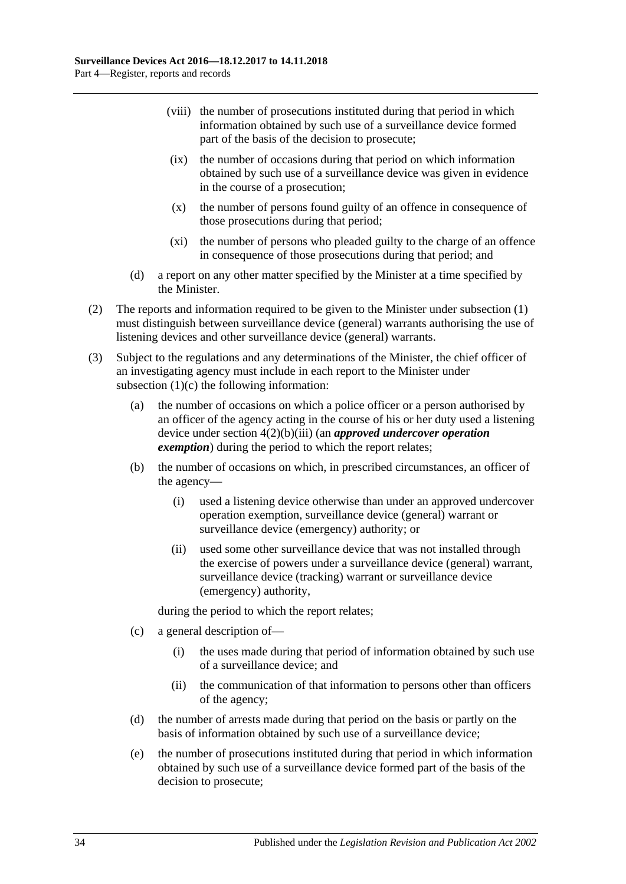- (viii) the number of prosecutions instituted during that period in which information obtained by such use of a surveillance device formed part of the basis of the decision to prosecute;
- (ix) the number of occasions during that period on which information obtained by such use of a surveillance device was given in evidence in the course of a prosecution;
- (x) the number of persons found guilty of an offence in consequence of those prosecutions during that period;
- (xi) the number of persons who pleaded guilty to the charge of an offence in consequence of those prosecutions during that period; and
- (d) a report on any other matter specified by the Minister at a time specified by the Minister.
- (2) The reports and information required to be given to the Minister under [subsection](#page-31-1) (1) must distinguish between surveillance device (general) warrants authorising the use of listening devices and other surveillance device (general) warrants.
- (3) Subject to the regulations and any determinations of the Minister, the chief officer of an investigating agency must include in each report to the Minister under [subsection](#page-32-0) (1)(c) the following information:
	- (a) the number of occasions on which a police officer or a person authorised by an officer of the agency acting in the course of his or her duty used a listening device under section [4\(2\)\(b\)\(iii\)](#page-9-2) (an *approved undercover operation exemption*) during the period to which the report relates;
	- (b) the number of occasions on which, in prescribed circumstances, an officer of the agency—
		- (i) used a listening device otherwise than under an approved undercover operation exemption, surveillance device (general) warrant or surveillance device (emergency) authority; or
		- (ii) used some other surveillance device that was not installed through the exercise of powers under a surveillance device (general) warrant, surveillance device (tracking) warrant or surveillance device (emergency) authority,

during the period to which the report relates;

- (c) a general description of—
	- (i) the uses made during that period of information obtained by such use of a surveillance device; and
	- (ii) the communication of that information to persons other than officers of the agency;
- (d) the number of arrests made during that period on the basis or partly on the basis of information obtained by such use of a surveillance device;
- (e) the number of prosecutions instituted during that period in which information obtained by such use of a surveillance device formed part of the basis of the decision to prosecute;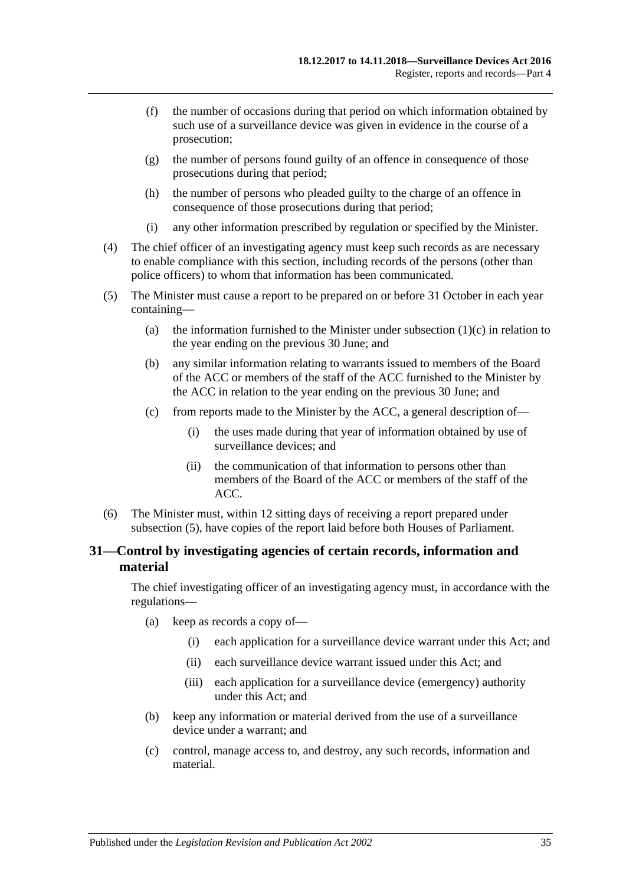- (f) the number of occasions during that period on which information obtained by such use of a surveillance device was given in evidence in the course of a prosecution;
- (g) the number of persons found guilty of an offence in consequence of those prosecutions during that period;
- (h) the number of persons who pleaded guilty to the charge of an offence in consequence of those prosecutions during that period;
- (i) any other information prescribed by regulation or specified by the Minister.
- (4) The chief officer of an investigating agency must keep such records as are necessary to enable compliance with this section, including records of the persons (other than police officers) to whom that information has been communicated.
- <span id="page-34-1"></span>(5) The Minister must cause a report to be prepared on or before 31 October in each year containing
	- (a) the information furnished to the Minister under [subsection](#page-32-0)  $(1)(c)$  in relation to the year ending on the previous 30 June; and
	- (b) any similar information relating to warrants issued to members of the Board of the ACC or members of the staff of the ACC furnished to the Minister by the ACC in relation to the year ending on the previous 30 June; and
	- (c) from reports made to the Minister by the ACC, a general description of—
		- (i) the uses made during that year of information obtained by use of surveillance devices; and
		- (ii) the communication of that information to persons other than members of the Board of the ACC or members of the staff of the ACC.
- (6) The Minister must, within 12 sitting days of receiving a report prepared under [subsection](#page-34-1) (5), have copies of the report laid before both Houses of Parliament.

## <span id="page-34-0"></span>**31—Control by investigating agencies of certain records, information and material**

The chief investigating officer of an investigating agency must, in accordance with the regulations—

- (a) keep as records a copy of—
	- (i) each application for a surveillance device warrant under this Act; and
	- (ii) each surveillance device warrant issued under this Act; and
	- (iii) each application for a surveillance device (emergency) authority under this Act; and
- (b) keep any information or material derived from the use of a surveillance device under a warrant; and
- (c) control, manage access to, and destroy, any such records, information and material.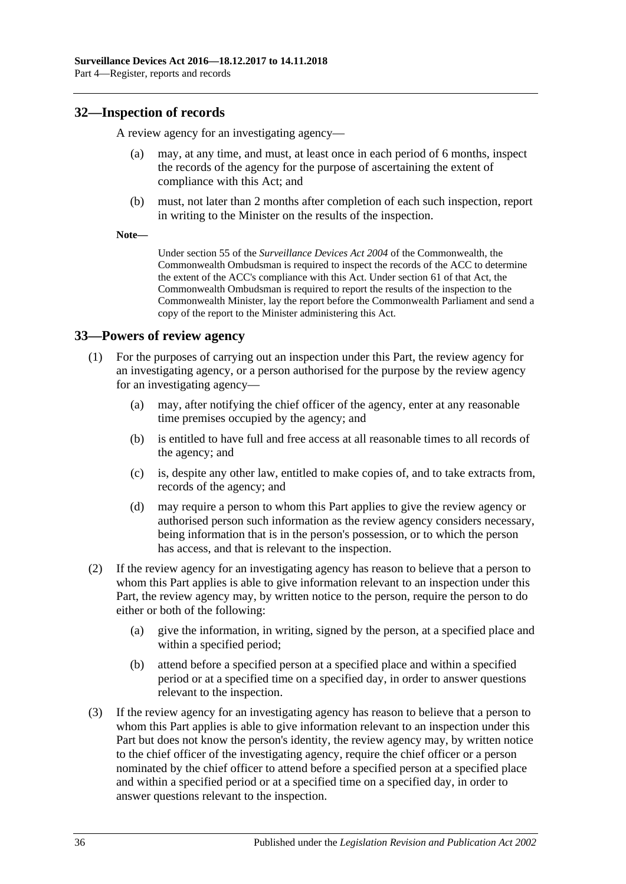## <span id="page-35-0"></span>**32—Inspection of records**

A review agency for an investigating agency—

- may, at any time, and must, at least once in each period of 6 months, inspect the records of the agency for the purpose of ascertaining the extent of compliance with this Act; and
- (b) must, not later than 2 months after completion of each such inspection, report in writing to the Minister on the results of the inspection.
- **Note—**

Under section 55 of the *Surveillance Devices Act 2004* of the Commonwealth, the Commonwealth Ombudsman is required to inspect the records of the ACC to determine the extent of the ACC's compliance with this Act. Under section 61 of that Act, the Commonwealth Ombudsman is required to report the results of the inspection to the Commonwealth Minister, lay the report before the Commonwealth Parliament and send a copy of the report to the Minister administering this Act.

## <span id="page-35-1"></span>**33—Powers of review agency**

- (1) For the purposes of carrying out an inspection under this Part, the review agency for an investigating agency, or a person authorised for the purpose by the review agency for an investigating agency—
	- (a) may, after notifying the chief officer of the agency, enter at any reasonable time premises occupied by the agency; and
	- (b) is entitled to have full and free access at all reasonable times to all records of the agency; and
	- (c) is, despite any other law, entitled to make copies of, and to take extracts from, records of the agency; and
	- (d) may require a person to whom this Part applies to give the review agency or authorised person such information as the review agency considers necessary, being information that is in the person's possession, or to which the person has access, and that is relevant to the inspection.
- (2) If the review agency for an investigating agency has reason to believe that a person to whom this Part applies is able to give information relevant to an inspection under this Part, the review agency may, by written notice to the person, require the person to do either or both of the following:
	- (a) give the information, in writing, signed by the person, at a specified place and within a specified period;
	- (b) attend before a specified person at a specified place and within a specified period or at a specified time on a specified day, in order to answer questions relevant to the inspection.
- (3) If the review agency for an investigating agency has reason to believe that a person to whom this Part applies is able to give information relevant to an inspection under this Part but does not know the person's identity, the review agency may, by written notice to the chief officer of the investigating agency, require the chief officer or a person nominated by the chief officer to attend before a specified person at a specified place and within a specified period or at a specified time on a specified day, in order to answer questions relevant to the inspection.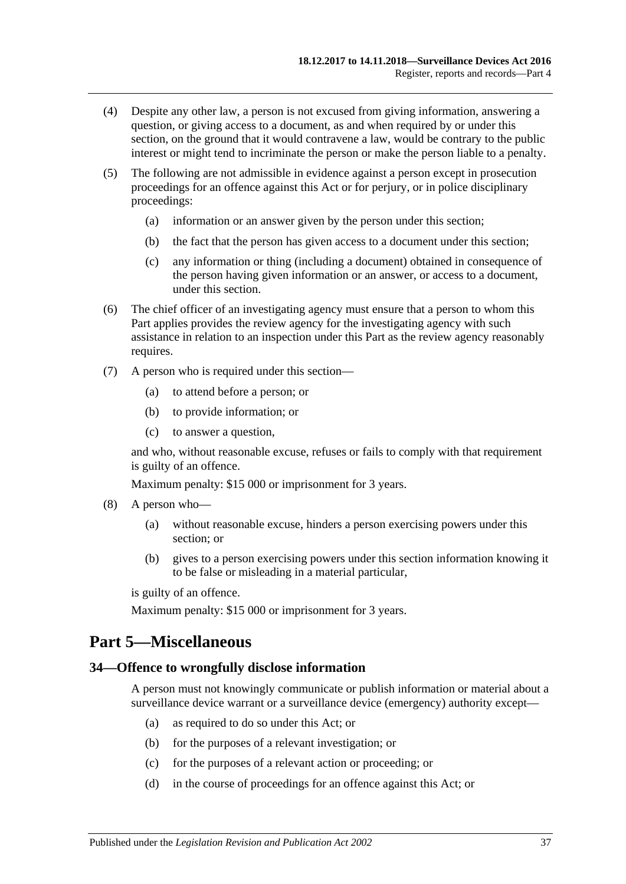- (4) Despite any other law, a person is not excused from giving information, answering a question, or giving access to a document, as and when required by or under this section, on the ground that it would contravene a law, would be contrary to the public interest or might tend to incriminate the person or make the person liable to a penalty.
- (5) The following are not admissible in evidence against a person except in prosecution proceedings for an offence against this Act or for perjury, or in police disciplinary proceedings:
	- (a) information or an answer given by the person under this section;
	- (b) the fact that the person has given access to a document under this section;
	- (c) any information or thing (including a document) obtained in consequence of the person having given information or an answer, or access to a document, under this section.
- (6) The chief officer of an investigating agency must ensure that a person to whom this Part applies provides the review agency for the investigating agency with such assistance in relation to an inspection under this Part as the review agency reasonably requires.
- (7) A person who is required under this section—
	- (a) to attend before a person; or
	- (b) to provide information; or
	- (c) to answer a question,

and who, without reasonable excuse, refuses or fails to comply with that requirement is guilty of an offence.

Maximum penalty: \$15 000 or imprisonment for 3 years.

- (8) A person who—
	- (a) without reasonable excuse, hinders a person exercising powers under this section; or
	- (b) gives to a person exercising powers under this section information knowing it to be false or misleading in a material particular,

is guilty of an offence.

Maximum penalty: \$15 000 or imprisonment for 3 years.

# <span id="page-36-0"></span>**Part 5—Miscellaneous**

#### <span id="page-36-1"></span>**34—Offence to wrongfully disclose information**

A person must not knowingly communicate or publish information or material about a surveillance device warrant or a surveillance device (emergency) authority except—

- (a) as required to do so under this Act; or
- (b) for the purposes of a relevant investigation; or
- (c) for the purposes of a relevant action or proceeding; or
- (d) in the course of proceedings for an offence against this Act; or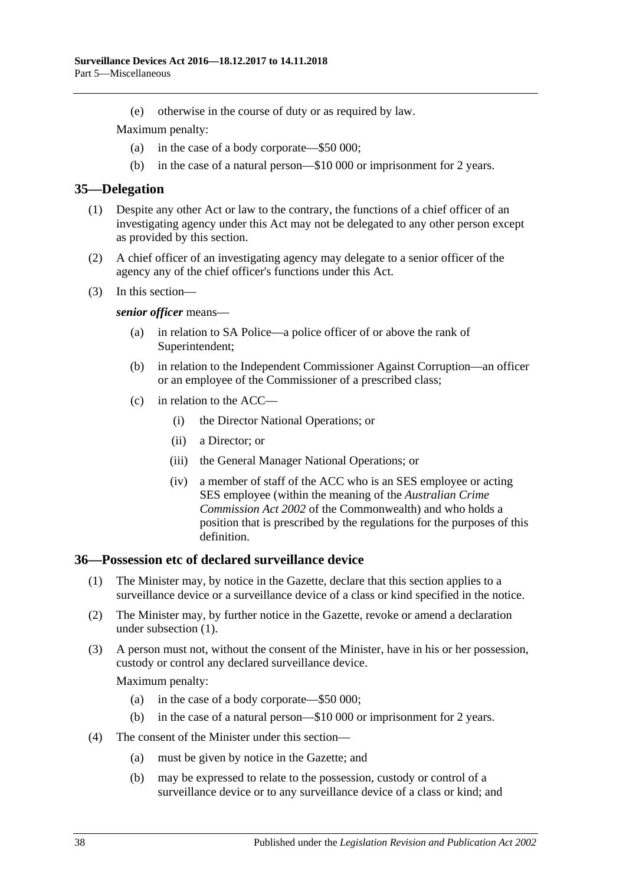(e) otherwise in the course of duty or as required by law.

Maximum penalty:

- (a) in the case of a body corporate—\$50 000;
- (b) in the case of a natural person—\$10 000 or imprisonment for 2 years.

#### <span id="page-37-0"></span>**35—Delegation**

- (1) Despite any other Act or law to the contrary, the functions of a chief officer of an investigating agency under this Act may not be delegated to any other person except as provided by this section.
- (2) A chief officer of an investigating agency may delegate to a senior officer of the agency any of the chief officer's functions under this Act.
- (3) In this section—

#### *senior officer* means—

- (a) in relation to SA Police—a police officer of or above the rank of Superintendent;
- (b) in relation to the Independent Commissioner Against Corruption—an officer or an employee of the Commissioner of a prescribed class;
- (c) in relation to the ACC—
	- (i) the Director National Operations; or
	- (ii) a Director; or
	- (iii) the General Manager National Operations; or
	- (iv) a member of staff of the ACC who is an SES employee or acting SES employee (within the meaning of the *Australian Crime Commission Act 2002* of the Commonwealth) and who holds a position that is prescribed by the regulations for the purposes of this definition.

#### <span id="page-37-2"></span><span id="page-37-1"></span>**36—Possession etc of declared surveillance device**

- (1) The Minister may, by notice in the Gazette, declare that this section applies to a surveillance device or a surveillance device of a class or kind specified in the notice.
- (2) The Minister may, by further notice in the Gazette, revoke or amend a declaration under [subsection](#page-37-2) (1).
- (3) A person must not, without the consent of the Minister, have in his or her possession, custody or control any declared surveillance device.

- (a) in the case of a body corporate—\$50 000;
- (b) in the case of a natural person—\$10 000 or imprisonment for 2 years.
- (4) The consent of the Minister under this section—
	- (a) must be given by notice in the Gazette; and
	- (b) may be expressed to relate to the possession, custody or control of a surveillance device or to any surveillance device of a class or kind; and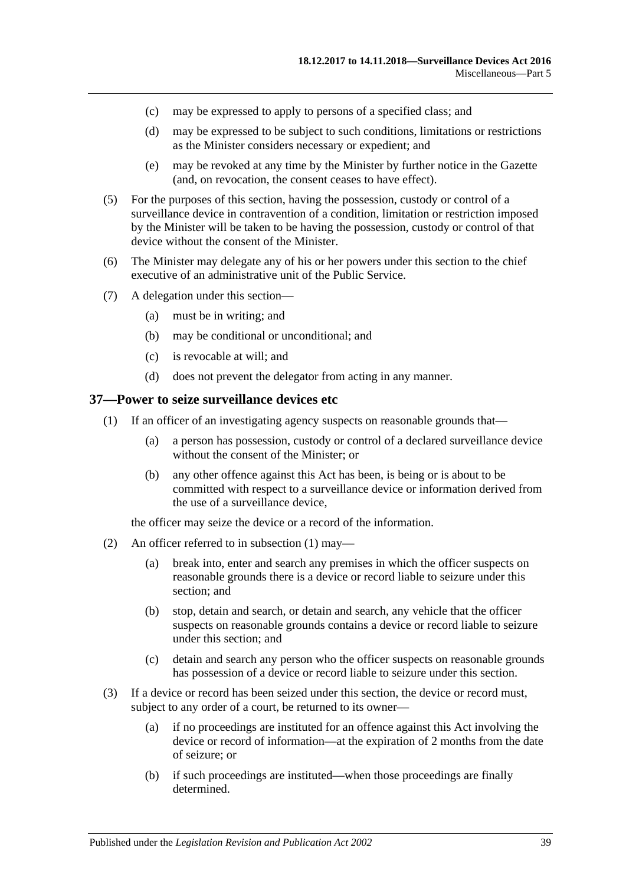- (c) may be expressed to apply to persons of a specified class; and
- (d) may be expressed to be subject to such conditions, limitations or restrictions as the Minister considers necessary or expedient; and
- (e) may be revoked at any time by the Minister by further notice in the Gazette (and, on revocation, the consent ceases to have effect).
- (5) For the purposes of this section, having the possession, custody or control of a surveillance device in contravention of a condition, limitation or restriction imposed by the Minister will be taken to be having the possession, custody or control of that device without the consent of the Minister.
- (6) The Minister may delegate any of his or her powers under this section to the chief executive of an administrative unit of the Public Service.
- (7) A delegation under this section—
	- (a) must be in writing; and
	- (b) may be conditional or unconditional; and
	- (c) is revocable at will; and
	- (d) does not prevent the delegator from acting in any manner.

#### <span id="page-38-1"></span><span id="page-38-0"></span>**37—Power to seize surveillance devices etc**

- (1) If an officer of an investigating agency suspects on reasonable grounds that—
	- (a) a person has possession, custody or control of a declared surveillance device without the consent of the Minister; or
	- (b) any other offence against this Act has been, is being or is about to be committed with respect to a surveillance device or information derived from the use of a surveillance device,

the officer may seize the device or a record of the information.

- (2) An officer referred to in [subsection](#page-38-1) (1) may—
	- (a) break into, enter and search any premises in which the officer suspects on reasonable grounds there is a device or record liable to seizure under this section; and
	- (b) stop, detain and search, or detain and search, any vehicle that the officer suspects on reasonable grounds contains a device or record liable to seizure under this section; and
	- (c) detain and search any person who the officer suspects on reasonable grounds has possession of a device or record liable to seizure under this section.
- (3) If a device or record has been seized under this section, the device or record must, subject to any order of a court, be returned to its owner—
	- (a) if no proceedings are instituted for an offence against this Act involving the device or record of information—at the expiration of 2 months from the date of seizure; or
	- (b) if such proceedings are instituted—when those proceedings are finally determined.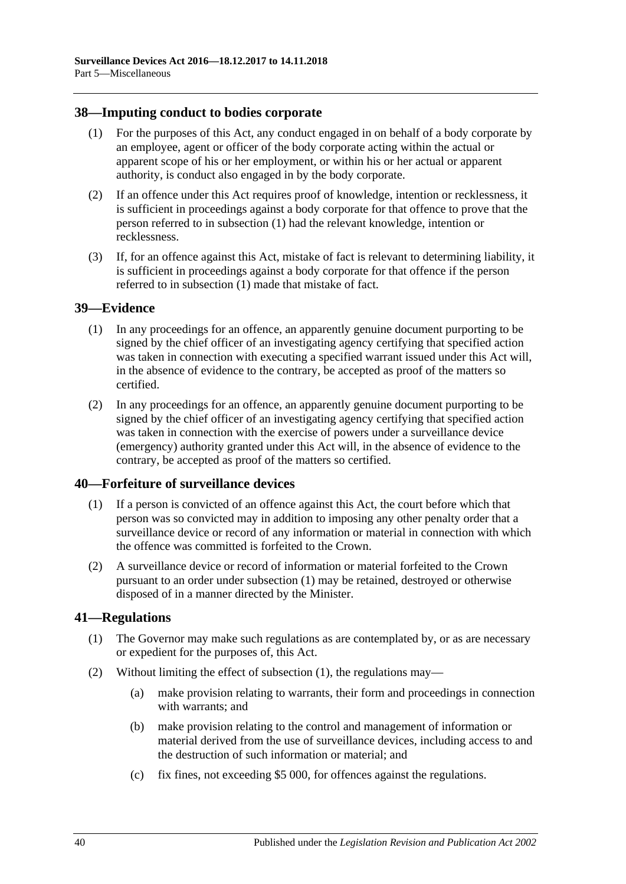#### <span id="page-39-4"></span><span id="page-39-0"></span>**38—Imputing conduct to bodies corporate**

- (1) For the purposes of this Act, any conduct engaged in on behalf of a body corporate by an employee, agent or officer of the body corporate acting within the actual or apparent scope of his or her employment, or within his or her actual or apparent authority, is conduct also engaged in by the body corporate.
- (2) If an offence under this Act requires proof of knowledge, intention or recklessness, it is sufficient in proceedings against a body corporate for that offence to prove that the person referred to in [subsection](#page-39-4) (1) had the relevant knowledge, intention or recklessness.
- (3) If, for an offence against this Act, mistake of fact is relevant to determining liability, it is sufficient in proceedings against a body corporate for that offence if the person referred to in [subsection](#page-39-4) (1) made that mistake of fact.

#### <span id="page-39-1"></span>**39—Evidence**

- (1) In any proceedings for an offence, an apparently genuine document purporting to be signed by the chief officer of an investigating agency certifying that specified action was taken in connection with executing a specified warrant issued under this Act will, in the absence of evidence to the contrary, be accepted as proof of the matters so certified.
- (2) In any proceedings for an offence, an apparently genuine document purporting to be signed by the chief officer of an investigating agency certifying that specified action was taken in connection with the exercise of powers under a surveillance device (emergency) authority granted under this Act will, in the absence of evidence to the contrary, be accepted as proof of the matters so certified.

#### <span id="page-39-5"></span><span id="page-39-2"></span>**40—Forfeiture of surveillance devices**

- (1) If a person is convicted of an offence against this Act, the court before which that person was so convicted may in addition to imposing any other penalty order that a surveillance device or record of any information or material in connection with which the offence was committed is forfeited to the Crown.
- (2) A surveillance device or record of information or material forfeited to the Crown pursuant to an order under [subsection](#page-39-5) (1) may be retained, destroyed or otherwise disposed of in a manner directed by the Minister.

## <span id="page-39-6"></span><span id="page-39-3"></span>**41—Regulations**

- (1) The Governor may make such regulations as are contemplated by, or as are necessary or expedient for the purposes of, this Act.
- (2) Without limiting the effect of [subsection](#page-39-6) (1), the regulations may—
	- (a) make provision relating to warrants, their form and proceedings in connection with warrants; and
	- (b) make provision relating to the control and management of information or material derived from the use of surveillance devices, including access to and the destruction of such information or material; and
	- (c) fix fines, not exceeding \$5 000, for offences against the regulations.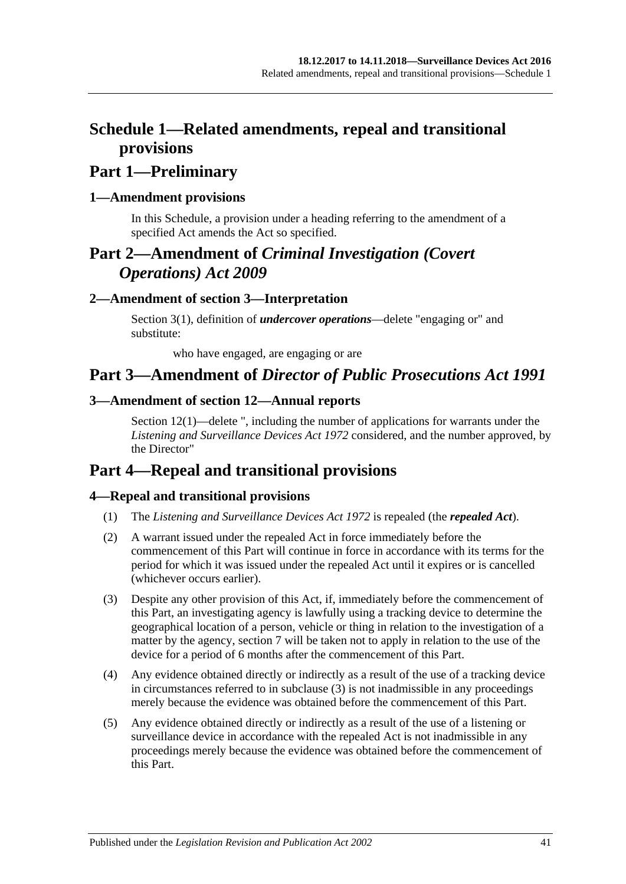# <span id="page-40-0"></span>**Schedule 1—Related amendments, repeal and transitional provisions**

# **Part 1—Preliminary**

## <span id="page-40-1"></span>**1—Amendment provisions**

In this Schedule, a provision under a heading referring to the amendment of a specified Act amends the Act so specified.

# **Part 2—Amendment of** *Criminal Investigation (Covert Operations) Act 2009*

## <span id="page-40-2"></span>**2—Amendment of section 3—Interpretation**

Section 3(1), definition of *undercover operations*—delete "engaging or" and substitute:

who have engaged, are engaging or are

# **Part 3—Amendment of** *Director of Public Prosecutions Act 1991*

## <span id="page-40-3"></span>**3—Amendment of section 12—Annual reports**

Section 12(1)—delete ", including the number of applications for warrants under the *[Listening and Surveillance Devices Act](http://www.legislation.sa.gov.au/index.aspx?action=legref&type=act&legtitle=Listening%20and%20Surveillance%20Devices%20Act%201972) 1972* considered, and the number approved, by the Director"

# **Part 4—Repeal and transitional provisions**

## <span id="page-40-4"></span>**4—Repeal and transitional provisions**

- (1) The *[Listening and Surveillance Devices Act](http://www.legislation.sa.gov.au/index.aspx?action=legref&type=act&legtitle=Listening%20and%20Surveillance%20Devices%20Act%201972) 1972* is repealed (the *repealed Act*).
- (2) A warrant issued under the repealed Act in force immediately before the commencement of this Part will continue in force in accordance with its terms for the period for which it was issued under the repealed Act until it expires or is cancelled (whichever occurs earlier).
- <span id="page-40-5"></span>(3) Despite any other provision of this Act, if, immediately before the commencement of this Part, an investigating agency is lawfully using a tracking device to determine the geographical location of a person, vehicle or thing in relation to the investigation of a matter by the agency, [section](#page-12-1) 7 will be taken not to apply in relation to the use of the device for a period of 6 months after the commencement of this Part.
- (4) Any evidence obtained directly or indirectly as a result of the use of a tracking device in circumstances referred to in [subclause](#page-40-5) (3) is not inadmissible in any proceedings merely because the evidence was obtained before the commencement of this Part.
- (5) Any evidence obtained directly or indirectly as a result of the use of a listening or surveillance device in accordance with the repealed Act is not inadmissible in any proceedings merely because the evidence was obtained before the commencement of this Part.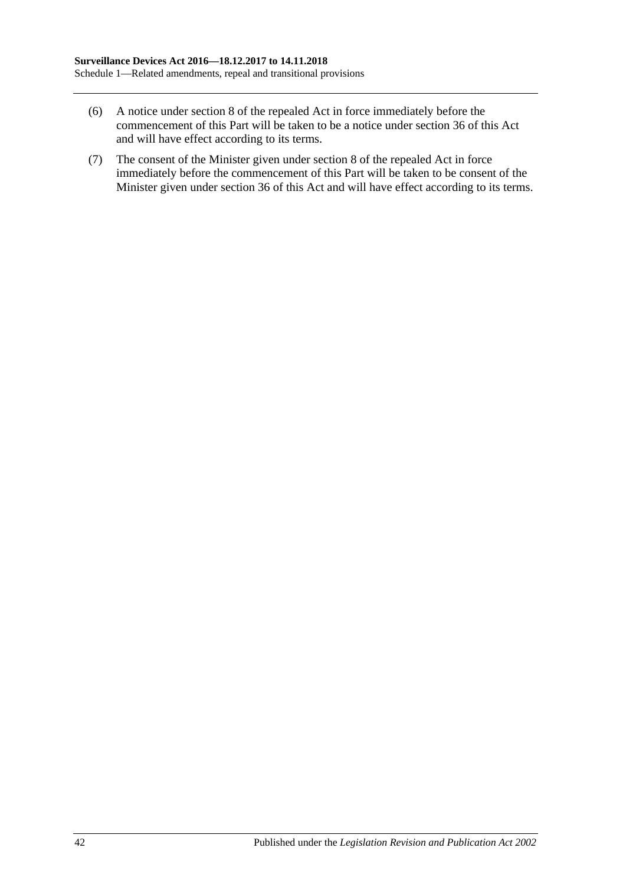- (6) A notice under section 8 of the repealed Act in force immediately before the commencement of this Part will be taken to be a notice under [section](#page-37-1) 36 of this Act and will have effect according to its terms.
- (7) The consent of the Minister given under section 8 of the repealed Act in force immediately before the commencement of this Part will be taken to be consent of the Minister given under [section](#page-37-1) 36 of this Act and will have effect according to its terms.